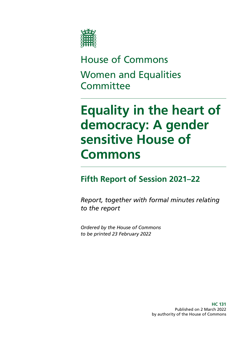

## House of Commons Women and Equalities **Committee**

# **Equality in the heart of democracy: A gender sensitive House of Commons**

### **Fifth Report of Session 2021–22**

*Report, together with formal minutes relating to the report*

*Ordered by the House of Commons to be printed 23 February 2022*

> **HC 131** Published on 2 March 2022 by authority of the House of Commons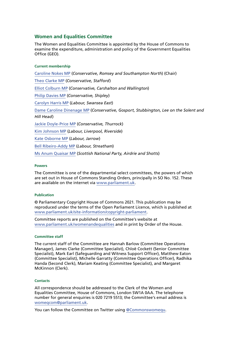#### **Women and Equalities Committee**

The Women and Equalities Committee is appointed by the House of Commons to examine the expenditure, administration and policy of the Government Equalities Office (GEO).

#### **Current membership**

[Caroline Nokes MP](https://members.parliament.uk/member/4048/contact) (*Conservative, Romsey and Southampton North*) (Chair) [Theo Clarke MP](https://members.parliament.uk/member/4819/contact) (*Conservative, Stafford*) [Elliot Colburn MP](https://members.parliament.uk/member/4775/contact) (*Conservative, Carshalton and Wallington*) [Philip Davies MP](https://members.parliament.uk/member/1565/contact) (*Conservative, Shipley*) [Carolyn](https://members.parliament.uk/member/4480/contact) Harris MP (*Labour, Swansea East*) Dame Caroline Dinenage MP (*Conservative, Gosport, Stubbington, Lee on the Solent and Hill Head*) Jackie Doyle-Price MP (*Conservative, Thurrock*) [Kim Johnson MP](https://members.parliament.uk/member/4824/contact) (*Labour, Liverpool, Riverside*) [Kate Osborne MP](https://members.parliament.uk/member/4783/contact) (*Labour, Jarrow*) [Bell Ribeiro-Addy MP](https://members.parliament.uk/member/4764/contact) (*Labour, Streatham*) Ms Anum Quaisar MP (*Scottish National Party, Airdrie and Shotts*)

#### **Powers**

The Committee is one of the departmental select committees, the powers of which are set out in House of Commons Standing Orders, principally in SO No. 152. These are available on the internet via [www.parliament.uk.](http://www.parliament.uk/)

#### **Publication**

© Parliamentary Copyright House of Commons 2021. This publication may be reproduced under the terms of the Open Parliament Licence, which is published at [www.parliament.uk/site-information/copyright-parliament.](https://www.parliament.uk/site-information/copyright-parliament/)

Committee reports are published on the Committee's website at [www.parliament.uk/womenandequalities](http://www.parliament.uk/womenandequalities) and in print by Order of the House.

#### **Committee staff**

The current staff of the Committee are Hannah Barlow (Committee Operations Manager), James Clarke (Committee Specialist), Chloë Cockett (Senior Committee Specialist), Mark Earl (Safeguarding and Witness Support Officer), Matthew Eaton (Committee Specialist), Michelle Garratty (Committee Operations Officer), Radhika Handa (Second Clerk), Mariam Keating (Committee Specialist), and Margaret McKinnon (Clerk).

#### **Contacts**

All correspondence should be addressed to the Clerk of the Women and Equalities Committee, House of Commons, London SW1A 0AA. The telephone number for general enquiries is 020 7219 5513; the Committee's email address is [womeqcom@parliament.uk.](mailto:womeqcom%40parliament.uk?subject=)

You can follow the Committee on Twitter using [@Commonswomequ.](https://twitter.com/Commonswomequ)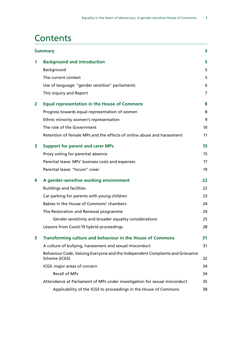### **Contents**

|                | <b>Summary</b>                                                                                 |                |
|----------------|------------------------------------------------------------------------------------------------|----------------|
| 1              | <b>Background and introduction</b>                                                             | 5              |
|                | Background                                                                                     | 5              |
|                | The current context                                                                            | 5              |
|                | Use of language: "gender sensitive" parliaments                                                | 6              |
|                | This inquiry and Report                                                                        | $\overline{7}$ |
| $\overline{2}$ | <b>Equal representation in the House of Commons</b>                                            | 8              |
|                | Progress towards equal representation of women                                                 | 8              |
|                | Ethnic minority women's representation                                                         | 9              |
|                | The role of the Government                                                                     | 10             |
|                | Retention of female MPs and the effects of online abuse and harassment                         | 11             |
| 3              | <b>Support for parent and carer MPs</b>                                                        | 15             |
|                | Proxy voting for parental absence                                                              | 15             |
|                | Parental leave: MPs' business costs and expenses                                               | 17             |
|                | Parental leave: "locum" cover                                                                  | 19             |
| 4              | A gender-sensitive working environment                                                         | 22             |
|                | <b>Buildings and facilities</b>                                                                | 22             |
|                | Car parking for parents with young children                                                    | 23             |
|                | Babies in the House of Commons' chambers                                                       | 24             |
|                | The Restoration and Renewal programme                                                          | 24             |
|                | Gender sensitivity and broader equality considerations                                         | 25             |
|                | Lessons from Covid-19 hybrid proceedings                                                       | 28             |
| 5              | Transforming culture and behaviour in the House of Commons                                     | 31             |
|                | A culture of bullying, harassment and sexual misconduct                                        | 31             |
|                | Behaviour Code, Valuing Everyone and the Independent Complaints and Grievance<br>Scheme (ICGS) | 32             |
|                | ICGS: major areas of concern                                                                   | 34             |
|                | <b>Recall of MPs</b>                                                                           | 34             |
|                | Attendance at Parliament of MPs under investigation for sexual misconduct                      | 35             |
|                | Applicability of the ICGS to proceedings in the House of Commons                               | 38             |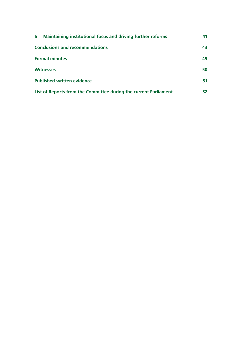| 6<br><b>Maintaining institutional focus and driving further reforms</b> | 41 |
|-------------------------------------------------------------------------|----|
| <b>Conclusions and recommendations</b>                                  |    |
| <b>Formal minutes</b>                                                   | 49 |
| <b>Witnesses</b>                                                        | 50 |
| <b>Published written evidence</b>                                       | 51 |
| List of Reports from the Committee during the current Parliament        | 52 |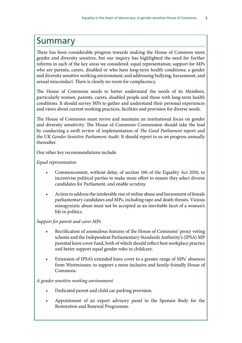### <span id="page-4-0"></span>Summary

There has been considerable progress towards making the House of Common more gender and diversity sensitive, but our inquiry has highlighted the need for further reforms in each of the key areas we considered: equal representation; support for MPs who are parents, carers, disabled or who have long-term health conditions; a gender and diversity sensitive working environment; and addressing bullying, harassment, and sexual misconduct. There is clearly no room for complacency.

The House of Commons needs to better understand the needs of its Members, particularly women, parents, carers, disabled people and those with long-term health conditions. It should survey MPs to gather and understand their personal experiences and views about current working practices, facilities and provision for diverse needs.

The House of Commons must revive and maintain an institutional focus on gender and diversity sensitivity. The House of Commons Commission should take the lead by conducting a swift review of implementation of *The Good Parliament* report and the *UK Gender Sensitive Parliament Audit*. It should report to us on progress annually thereafter.

Our other key recommendations include:

*Equal representation*

- Commencement, without delay, of section 106 of the Equality Act 2010, to incentivise political parties to make more effort to ensure they select diverse candidates for Parliament, and enable scrutiny.
- Action to address the intolerable rise of online abuse and harassment of female parliamentary candidates and MPs, including rape and death threats. Vicious misogynistic abuse must not be accepted as an inevitable facet of a woman's life in politics.

#### *Support for parent and carer MPs*

- Rectification of anomalous features of the House of Commons' proxy voting scheme and the Independent Parliamentary Standards Authority's (IPSA) MP parental leave cover fund, both of which should reflect best workplace practice and better support equal gender roles in childcare.
- Extension of IPSA's extended leave cover to a greater range of MPs' absences from Westminster, to support a more inclusive and family-friendly House of Commons.

#### *A gender sensitive working environment*

- Dedicated parent and child car parking provision.
- Appointment of an expert advisory panel to the Sponsor Body for the Restoration and Renewal Programme.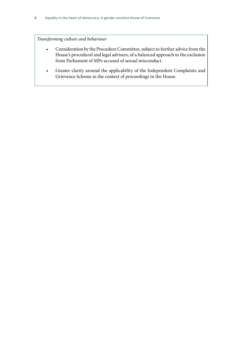*Transforming culture and behaviour*

- Consideration by the Procedure Committee, subject to further advice from the House's procedural and legal advisers, of a balanced approach to the exclusion from Parliament of MPs accused of sexual misconduct.
- Greater clarity around the applicability of the Independent Complaints and Grievance Scheme in the context of proceedings in the House.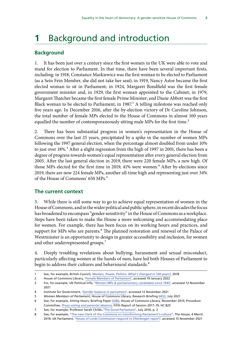### <span id="page-6-0"></span>**1** Background and introduction

#### **Background**

1. It has been just over a century since the first women in the UK were able to vote and stand for election to Parliament. In that time, there have been several important firsts, including: in 1918, Constance Markiewicz was the first woman to be elected to Parliament (as a Sein Fein Member, she did not take her seat); in 1919, Nancy Astor became the first elected woman to sit in Parliament; in 1924, Margaret Bondfield was the first female government minister and, in 1929, the first woman appointed to the Cabinet; in 1979, Margaret Thatcher became the first female Prime Minister; and Diane Abbott was the first Black woman to be elected to Parliament, in 1987.<sup>1</sup> A telling milestone was reached only five years ago. In December 2016, after the by-election victory of Dr Caroline Johnson, the total number of female MPs elected to the House of Commons in almost 100 years equalled the number of contemporaneously sitting male MPs for the first time.<sup>2</sup>

2. There has been substantial progress in women's representation in the House of Commons over the last 25 years, precipitated by a spike in the number of women MPs following the 1997 general election, when the percentage almost doubled from under 10% to just over 18%.<sup>3</sup> After a slight regression from the high of 1997 in 2001, there has been a degree of progress towards women's equal representation after every general election from 2005. After the last general election in 2019, there were 220 female MPs, a new high. Of those MPs elected for the first time in 2019, 41% were women.<sup>4</sup> After by-elections since 2019, there are now 224 female MPs, another all-time high and representing just over 34% of the House of Commons' 650 MPs.5

#### **The current context**

3. While there is still some way to go to achieve equal representation of women in the House of Commons, and in the wider political and public sphere, in recent decades the focus has broadened to encompass "gender sensitivity" in the House of Commons as a workplace. Steps have been taken to make the House a more welcoming and accommodating place for women. For example, there has been focus on its working hours and practices, and support for MPs who are parents.<sup>6</sup> The planned restoration and renewal of the Palace of Westminster is an opportunity to design in greater accessibility and inclusion, for women and other underrepresented groups.<sup>7</sup>

4. Deeply troubling revelations about bullying, harassment and sexual misconduct, particularly affecting women at the hands of men, have led both Houses of Parliament to begin to address their cultures and behavioural standards.<sup>8</sup>

<sup>1</sup> See, for example, British Council, *[Women, Power, Politics: What's changed in 100 years?](https://www.britishcouncil.org/sites/default/files/j003_women_power_and_politics_report_digital_version.pdf)*, 2018

<sup>2</sup> House of Commons Library, ['Female Members of Parliament](https://commonslibrary.parliament.uk/research-briefings/sn06652/)', accessed 19 January 2022

<sup>3</sup> For, for example, UK Political Info, '[Women MPs & parliamentary candidates since 1945](https://www.ukpolitical.info/FemaleMPs.htm)', accessed 12 November 2021

<sup>4</sup> Institute for Government, '[Gender balance in parliament'](https://www.instituteforgovernment.org.uk/publication/gender/parliament), accessed 12 November 2021

<sup>5</sup> *Women Members of Parliament*, House of Commons Library, Research Briefing [6652](https://researchbriefings.files.parliament.uk/documents/SN06652/SN06652.pdf), July 2021

<sup>6</sup> See, for example, *Sitting Hours*, Briefing Paper [6380](https://researchbriefings.files.parliament.uk/documents/SN06380/SN06380.pdf), House of Commons Library, November 2015; Procedure Committee, *[Proxy voting and parental absence](https://publications.parliament.uk/pa/cm201719/cmselect/cmproced/825/825.pdf)*, Fifth Report of Session 2017–19, HC 825

<sup>7</sup> See, for example, Professor Sarah Childs, '[The Good Parliament](https://www.bristol.ac.uk/media-library/sites/news/2016/july/20%20Jul%20Prof%20Sarah%20Childs%20The%20Good%20Parliament%20report.pdf)', July 2016, p. 2

<sup>8</sup> See, for example, "[The new Clerk of the Commons on transforming Parliament's culture"](https://www.politicshome.com/thehouse/article/the-new-clerk-of-the-commons-on-transforming-parliaments-culture), *The House*, 4 March 2019; UK Parliament, ['House of Lords Commission respond to Ellenbogen report](https://committees.parliament.uk/committee/362/house-of-lords-commission/news/94893/house-of-lords-commission-respond-to-ellenbogen-report/)', accessed 15 November 2021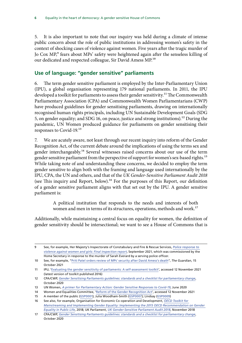<span id="page-7-0"></span>5. It is also important to note that our inquiry was held during a climate of intense public concern about the role of public institutions in addressing women's safety in the context of shocking cases of violence against women. Five years after the tragic murder of Jo Cox MP,<sup>9</sup> fears about MPs' safety were heightened again after the senseless killing of our dedicated and respected colleague, Sir David Amess MP.<sup>10</sup>

#### **Use of language: "gender sensitive" parliaments**

6. The term gender sensitive parliament is employed by the Inter-Parliamentary Union (IPU), a global organisation representing 179 national parliaments. In 2011, the IPU developed a toolkit for parliaments to assess their gender sensitivity.<sup>11</sup> The Commonwealth Parliamentary Association (CPA) and Commonwealth Women Parliamentarians (CWP) have produced guidelines for gender sensitising parliaments, drawing on internationally recognised human rights principals, including UN Sustainable Development Goals (SDG 5, on gender equality; and SDG 16, on peace, justice and strong institutions).<sup>12</sup> During the pandemic, UN Women produced guidance for parliaments on gender sensitising their responses to Covid-19.13

7. We are acutely aware, not least through our recent inquiry into reform of the Gender Recognition Act, of the current debate around the implications of using the terms sex and gender interchangeably.<sup>14</sup> Several witnesses raised concerns about our use of the term gender sensitive parliament from the perspective of support for women's sex-based rights.<sup>15</sup> While taking note of and understanding these concerns, we decided to employ the term gender sensitive to align both with the framing and language used internationally by the IPU, CPA, the UN and others, and that of the *UK Gender-Sensitive Parliament Audit 2018* (see This inquiry and Report, below).<sup>16</sup> For the purposes of this Report, our definition of a gender sensitive parliament aligns with that set out by the IPU. A gender sensitive parliament is:

> A political institution that responds to the needs and interests of both women and men in terms of its structures, operations, methods and work.<sup>17</sup>

Additionally, while maintaining a central focus on equality for women, the definition of gender sensitivity should be intersectional; we want to see a House of Commons that is

<sup>9</sup> See, for example, Her Majesty's Inspectorate of Constabulary and Fire & Rescue Services, *[Police response to](https://www.justiceinspectorates.gov.uk/hmicfrs/wp-content/uploads/police-response-to-violence-against-women-and-girls-final-inspection-report.pdf)  [violence against women and girls: Final inspection report](https://www.justiceinspectorates.gov.uk/hmicfrs/wp-content/uploads/police-response-to-violence-against-women-and-girls-final-inspection-report.pdf)*, September 2021, which was commissioned by the Home Secretary in response to the murder of Sarah Everard by a serving police officer.

<sup>10</sup> See, for example, "[Priti Patel orders review of MPs' security after David Amess's death](https://www.theguardian.com/uk-news/2021/oct/15/commons-speaker-to-examine-mps-security-after-david-amesss-death)", *The Guardian*, 15 October 2021

<sup>11</sup> IPU, '[Evaluating the gender sensitivity of parliaments: A self-assessment toolkit](https://www.ipu.org/resources/publications/toolkits/2016-11/evaluating-gender-sensitivity-parliaments-self-assessment-toolkit)', accessed 12 November 2021 (latest version of toolkit published 2016)

<sup>12</sup> CPA/CWP, *[Gender Sensitising Parliaments guidelines: standards and a checklist for parliamentary change](https://www.cpahq.org/news/2020_10-gender-sensitising-parliaments/)*, October 2020

<sup>13</sup> UN Women, *[A primer for Parliamentary Action: Gender Sensitive Responses to Covid-19](https://www.unwomen.org/sites/default/files/Headquarters/Attachments/Sections/Library/Publications/2020/A-primer-for-parliamentary-action-Gender-sensitive-responses-to-COVID-19-en.pdf)*, June 2020

<sup>14</sup> Women and Equalities Committee, ['Reform of the Gender Recognition Act'](https://committees.parliament.uk/work/658/reform-of-the-gender-recognition-act/), accessed 12 November 2021

<sup>15</sup> A member of the public [\(GSP0001\)](https://committees.parliament.uk/writtenevidence/23427/pdf/); Julia Woodham-Smith ([GSP0007](https://committees.parliament.uk/writtenevidence/25279/pdf/)); Lindsay ([GSP0009](https://committees.parliament.uk/writtenevidence/25294/pdf/))

<sup>16</sup> See also, for example, Organisation for Economic Co-operation and Development, *[OECD Toolkit for](https://www.oecd.org/gov/toolkit-for-mainstreaming-and-implementing-gender-equality.pdf)  [Mainstreaming and Implementing Gender Equality: Implementing the 2015 OECD Recommendation on Gender](https://www.oecd.org/gov/toolkit-for-mainstreaming-and-implementing-gender-equality.pdf)  [Equality in Public Life](https://www.oecd.org/gov/toolkit-for-mainstreaming-and-implementing-gender-equality.pdf)*, 2018; UK Parliament, *[UK Gender-Sensitive Parliament Audit 2018](https://www.parliament.uk/globalassets/documents/lords-information-office/uk-parliament_-gender-sensitive-parliament-audit_report_digital.pdf)*, November 2018

<sup>17</sup> CPA/CWP, *[Gender Sensitising Parliaments guidelines: standards and a checklist for parliamentary change](https://www.cpahq.org/news/2020_10-gender-sensitising-parliaments/)*, October 2020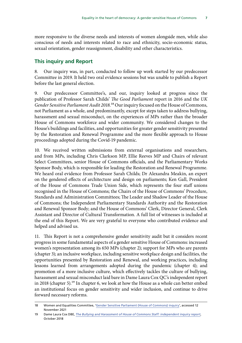<span id="page-8-0"></span>more responsive to the diverse needs and interests of women alongside men, while also conscious of needs and interests related to race and ethnicity, socio-economic status, sexual orientation, gender reassignment, disability and other characteristics.

#### **This inquiry and Report**

8. Our inquiry was, in part, conducted to follow up work started by our predecessor Committee in 2019. It held two oral evidence sessions but was unable to publish a Report before the last general election.

9. Our predecessor Committee's, and our, inquiry looked at progress since the publication of Professor Sarah Childs' *The Good Parliament* report in 2016 and the *UK Gender Sensitive Parliament Audit 2018*.18 Our inquiry focused on the House of Commons, not Parliament as a whole, and predominantly, except for steps taken to address bullying, harassment and sexual misconduct, on the experiences of MPs rather than the broader House of Commons workforce and wider community. We considered changes to the House's buildings and facilities, and opportunities for greater gender sensitivity presented by the Restoration and Renewal Programme and the more flexible approach to House proceedings adopted during the Covid-19 pandemic.

10. We received written submissions from external organisations and researchers, and from MPs, including Chris Clarkson MP, Ellie Reeves MP and Chairs of relevant Select Committees, senior House of Commons officials, and the Parliamentary Works Sponsor Body, which is responsible for leading the Restoration and Renewal Programme. We heard oral evidence from Professor Sarah Childs; Dr Alexandra Meakin, an expert on the gendered effects of architecture and design on parliaments; Ken Gall, President of the House of Commons Trade Union Side, which represents the four staff unions recognised in the House of Commons; the Chairs of the House of Commons' Procedure, Standards and Administration Committees; The Leader and Shadow Leader of the House of Commons; the Independent Parliamentary Standards Authority and the Restoration and Renewal Sponsor Body; and the House of Commons' Clerk, Director General, Clerk Assistant and Director of Cultural Transformation. A full list of witnesses is included at the end of this Report. We are very grateful to everyone who contributed evidence and helped and advised us.

11. This Report is not a comprehensive gender sensitivity audit but it considers recent progress in some fundamental aspects of a gender sensitive House of Commons: increased women's representation among its 650 MPs (chapter 2); support for MPs who are parents (chapter 3); an inclusive workplace, including sensitive workplace design and facilities, the opportunities presented by Restoration and Renewal, and working practices, including lessons learned from arrangements adopted during the pandemic (chapter 4); and promotion of a more inclusive culture, which effectively tackles the culture of bullying, harassment and sexual misconduct laid bare in Dame Laura Cox QC's independent report in 2018 (chapter 5).19 In chapter 6, we look at how the House as a whole can better embed an institutional focus on gender sensitivity and wider inclusion, and continue to drive forward necessary reforms.

<sup>18</sup> Women and Equalities Committee, ['Gender Sensitive Parliament \(House of Commons\) inquiry](https://old.parliament.uk/business/committees/committees-a-z/commons-select/women-and-equalities-committee/inquiries/parliament-2017/gender-sensitive-parliament-audit-inquiry-17-19/)', accessed 12 November 2021

<sup>19</sup> Dame Laura Cox DBE, *[The Bullying and Harassment of House of Commons Staff: independent inquiry report](https://www.parliament.uk/globalassets/documents/conduct-in-parliament/dame-laura-cox-independent-inquiry-report.pdf)*, October 2018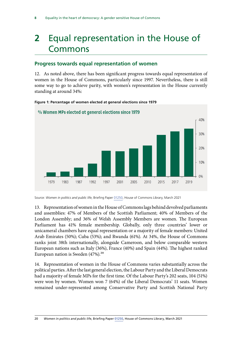## <span id="page-9-0"></span>**2** Equal representation in the House of Commons

#### **Progress towards equal representation of women**

12. As noted above, there has been significant progress towards equal representation of women in the House of Commons, particularly since 1997. Nevertheless, there is still some way to go to achieve parity, with women's representation in the House currently standing at around 34%:



#### **Figure 1: Percentage of women elected at general elections since 1979**

Source: *Women in politics and public life*, Briefing Paper [01250,](https://researchbriefings.files.parliament.uk/documents/SN01250/SN01250.pdf) House of Commons Library, March 2021

13. Representation of women in the House of Commons lags behind devolved parliaments and assemblies: 47% of Members of the Scottish Parliament; 40% of Members of the London Assembly; and 36% of Welsh Assembly Members are women. The European Parliament has 41% female membership. Globally, only three countries' lower or unicameral chambers have equal representation or a majority of female members: United Arab Emirates (50%); Cuba (53%); and Rwanda (61%). At 34%, the House of Commons ranks joint 38th internationally, alongside Cameroon, and below comparable western European nations such as Italy (36%), France (40%) and Spain (44%). The highest ranked European nation is Sweden  $(47%)$ .<sup>20</sup>

14. Representation of women in the House of Commons varies substantially across the political parties. After the last general election, the Labour Party and the Liberal Democrats had a majority of female MPs for the first time. Of the Labour Party's 202 seats, 104 (51%) were won by women. Women won 7 (64%) of the Liberal Democrats' 11 seats. Women remained under-represented among Conservative Party and Scottish National Party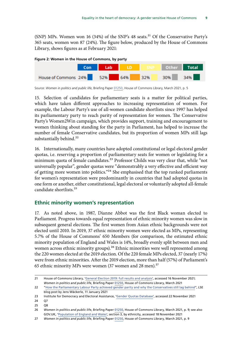<span id="page-10-0"></span>(SNP) MPs. Women won 16 (34%) of the SNP's 48 seats.<sup>21</sup> Of the Conservative Party's 365 seats, women won 87 (24%). The figure below, produced by the House of Commons Library, shows figures as at February 2021:



15. Selection of candidates for parliamentary seats is a matter for political parties, which have taken different approaches to increasing representation of women. For example, the Labour Party's use of all-women candidate shortlists since 1997 has helped its parliamentary party to reach parity of representation for women. The Conservative Party's Women2Win campaign, which provides support, training and encouragement to women thinking about standing for the party in Parliament, has helped to increase the number of female Conservative candidates, but its proportion of women MPs still lags substantially behind.<sup>22</sup>

16. Internationally, many countries have adopted constitutional or legal electoral gender quotas, i.e. reserving a proportion of parliamentary seats for women or legislating for a minimum quota of female candidates.<sup>23</sup> Professor Childs was very clear that, while "not universally popular", gender quotas were "demonstrably a very effective and efficient way of getting more women into politics."<sup>24</sup> She emphasised that the top ranked parliaments for women's representation were predominantly in countries that had adopted quotas in one form or another, either constitutional, legal electoral or voluntarily adopted all-female candidate shortlists.25

#### **Ethnic minority women's representation**

17. As noted above, in 1987, Dianne Abbot was the first Black woman elected to Parliament. Progress towards equal representation of ethnic minority women was slow in subsequent general elections. The first women from Asian ethnic backgrounds were not elected until 2010. In 2019, 37 ethnic minority women were elected as MPs, representing 5.7% of the House of Commons' 650 Members (for comparison, the estimated ethnic minority population of England and Wales is 14%, broadly evenly split between men and women across ethnic minority groups).<sup>26</sup> Ethnic minorities were well represented among the 220 women elected at the 2019 election. Of the 220 female MPs elected, 37 (nearly 17%) were from ethnic minorities. After the 2019 election, more than half (57%) of Parliament's 65 ethnic minority MPs were women (37 women and 28 men).<sup>27</sup>

24 Q7

25 Q8

Source: *Women in politics and public life*, Briefing Paper [01250,](https://researchbriefings.files.parliament.uk/documents/SN01250/SN01250.pdf) House of Commons Library, March 2021, p. 5

<sup>21</sup> House of Commons Library, ['General Election 2019: full results and analysis'](https://commonslibrary.parliament.uk/research-briefings/cbp-8749/), accessed 16 November 2021; *Women in politics and public life*, Briefing Paper [01250,](https://researchbriefings.files.parliament.uk/documents/SN01250/SN01250.pdf) House of Commons Library, March 2021

<sup>22</sup> "[How the Parliamentary Labour Party achieved gender parity and why the Conservatives still lag behind"](https://blogs.lse.ac.uk/politicsandpolicy/women-mps-labour-conservatives/), LSE blog post by Jens Wäckerle, 11 January 2021

<sup>23</sup> Institute for Democracy and Electoral Assistance, '[Gender Quotas Database'](https://www.idea.int/data-tools/data/gender-quotas/quotas), accessed 22 November 2021

<sup>26</sup> *Women in politics and public life*, Briefing Paper [01250,](https://researchbriefings.files.parliament.uk/documents/SN01250/SN01250.pdf) House of Commons Library, March 2021, p. 9; see also GOV.UK, '[Population of England and Wales](https://www.ethnicity-facts-figures.service.gov.uk/uk-population-by-ethnicity/national-and-regional-populations/population-of-england-and-wales/latest)', section 3, by ethnicity, accessed 18 November 2021

<sup>27</sup> *Women in politics and public life*, Briefing Paper [01250,](https://researchbriefings.files.parliament.uk/documents/SN01250/SN01250.pdf) House of Commons Library, March 2021, p. 9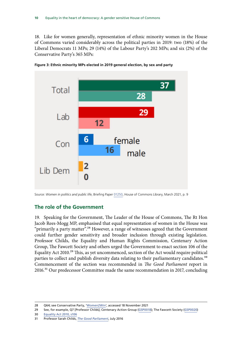<span id="page-11-0"></span>18. Like for women generally, representation of ethnic minority women in the House of Commons varied considerably across the political parties in 2019: two (18%) of the Liberal Democrats 11 MPs; 29 (14%) of the Labour Party's 202 MPs; and six (2%) of the Conservative Party's 365 MPs:



**Figure 3: Ethnic minority MPs elected in 2019 general election, by sex and party**

Source: *Women in politics and public life*, Briefing Paper [01250,](https://researchbriefings.files.parliament.uk/documents/SN01250/SN01250.pdf) House of Commons Library, March 2021, p. 9

#### **The role of the Government**

19. Speaking for the Government, The Leader of the House of Commons, The Rt Hon Jacob Rees-Mogg MP, emphasised that equal representation of women in the House was "primarily a party matter".<sup>28</sup> However, a range of witnesses agreed that the Government could further gender sensitivity and broader inclusion through existing legislation. Professor Childs, the Equality and Human Rights Commission, Centenary Action Group, The Fawcett Society and others urged the Government to enact section 106 of the Equality Act 2010.<sup>29</sup> This, as yet uncommenced, section of the Act would require political parties to collect and publish diversity data relating to their parliamentary candidates.<sup>30</sup> Commencement of the section was recommended in *The Good Parliament* report in 2016.<sup>31</sup> Our predecessor Committee made the same recommendation in 2017, concluding

<sup>28</sup> Q64; see Conservative Party, '[Women2Win](https://www.women2win.com/)', accessed 18 November 2021

<sup>29</sup> See, for example, Q7 [Professor Childs]; Centenary Action Group [\(GSP0018\)](https://committees.parliament.uk/writtenevidence/25389/pdf/); The Fawcett Society ([GSP0020](https://committees.parliament.uk/writtenevidence/25393/pdf/))

<sup>30</sup> [Equality Act 2010, s106](https://www.legislation.gov.uk/ukpga/2010/15/section/106/2012-01-16)

<sup>31</sup> Professor Sarah Childs, *[The Good Parliament](https://www.bristol.ac.uk/media-library/sites/news/2016/july/20%20Jul%20Prof%20Sarah%20Childs%20The%20Good%20Parliament%20report.pdf)*, July 2016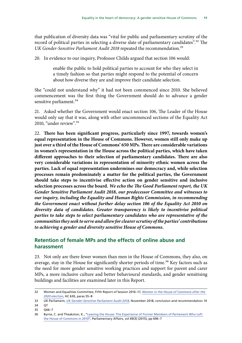<span id="page-12-0"></span>that publication of diversity data was "vital for public and parliamentary scrutiny of the record of political parties in selecting a diverse slate of parliamentary candidates".<sup>32</sup> The UK Gender-Sensitive Parliament Audit 2018 repeated the recommendation.<sup>33</sup>

20. In evidence to our inquiry, Professor Childs argued that section 106 would:

enable the public to hold political parties to account for who they select in a timely fashion so that parties might respond to the potential of concern about how diverse they are and improve their candidate selection.

She "could not understand why" it had not been commenced since 2010. She believed commencement was the first thing the Government should do to advance a gender sensitive parliament.<sup>34</sup>

21. Asked whether the Government would enact section 106, The Leader of the House would only say that it was, along with other uncommenced sections of the Equality Act 2010, "under review".35

22. **There has been significant progress, particularly since 1997, towards women's equal representation in the House of Commons. However, women still only make up just over a third of the House of Commons' 650 MPs. There are considerable variations in women's representation in the House across the political parties, which have taken different approaches to their selection of parliamentary candidates. There are also very considerable variations in representation of minority ethnic women across the parties. Lack of equal representation undermines our democracy and, while selection processes remain predominately a matter for the political parties, the Government should take steps to incentivise effective action on gender sensitive and inclusive selection processes across the board.** *We echo the The Good Parliament report, the UK Gender Sensitive Parliament Audit 2018, our predecessor Committee and witnesses to our inquiry, including the Equality and Human Rights Commission, in recommending the Government enact without further delay section 106 of the Equality Act 2010 on diversity data of candidates. Greater transparency is likely to incentivise political parties to take steps to select parliamentary candidates who are representative of the communities they seek to serve and allow for clearer scrutiny of the parties' contributions to achieving a gender and diversity sensitive House of Commons.*

#### **Retention of female MPs and the effects of online abuse and harassment**

23. Not only are there fewer women than men in the House of Commons, they also, on average, stay in the House for significantly shorter periods of time.<sup>36</sup> Key factors such as the need for more gender sensitive working practices and support for parent and carer MPs, a more inclusive culture and better behavioural standards, and gender sensitising buildings and facilities are examined later in this Report.

<sup>32</sup> Women and Equalities Committee, Fifth Report of Session 2016–17, *[Women in the House of Commons after the](https://publications.parliament.uk/pa/cm201617/cmselect/cmwomeq/630/630.pdf)  [2020 election](https://publications.parliament.uk/pa/cm201617/cmselect/cmwomeq/630/630.pdf)*, HC 630, paras 55–8

<sup>33</sup> UK Parliament, *[UK Gender-Sensitive Parliament Audit 2018](https://www.parliament.uk/globalassets/documents/lords-information-office/uk-parliament_-gender-sensitive-parliament-audit_report_digital.pdf)*, November 2018, conclusion and recommendation 14

<sup>34</sup> Q7

<sup>35</sup> Q66–7

<sup>36</sup> Byrne, C. and Theakston, K., "[Leaving the House: The Experience of Former Members of Parliament Who Left](C://Users/CLARKEJA/Downloads/Leaving_the_House_The_Experience_of_Former_Members%20(1).pdf)  [the House of Commons in 2010"](C://Users/CLARKEJA/Downloads/Leaving_the_House_The_Experience_of_Former_Members%20(1).pdf), Parliamentary Affairs, vol 69(3) (2015), pp 696–7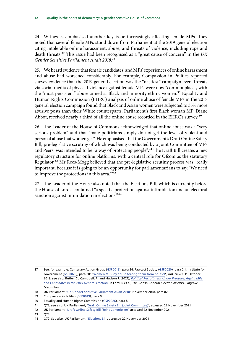24. Witnesses emphasised another key issue increasingly affecting female MPs. They noted that several female MPs stood down from Parliament at the 2019 general election citing intolerable online harassment, abuse, and threats of violence, including rape and death threats.37 This issue had been recognised as a "great cause of concern" in the *UK Gender Sensitive Parliament Audit 2018*.38

25. We heard evidence that female candidates' and MPs' experiences of online harassment and abuse had worsened considerably. For example, Compassion in Politics reported survey evidence that the 2019 general election was the "nastiest" campaign ever. Threats via social media of physical violence against female MPs were now "commonplace", with the "most persistent" abuse aimed at Black and minority ethnic women.<sup>39</sup> Equality and Human Rights Commission (EHRC) analysis of online abuse of female MPs in the 2017 general election campaign found that Black and Asian women were subjected to 35% more abusive posts than their White counterparts. Parliament's first Black woman MP, Diane Abbot, received nearly a third of all the online abuse recorded in the EHRC's survey.<sup>40</sup>

26. The Leader of the House of Commons acknowledged that online abuse was a "very serious problem" and that "male politicians simply do not get the level of violent and personal abuse that women get". He emphasised that the Government's Draft Online Safety Bill, pre-legislative scrutiny of which was being conducted by a Joint Committee of MPs and Peers, was intended to be "a way of protecting people".<sup>41</sup> The Draft Bill creates a new regulatory structure for online platforms, with a central role for Ofcom as the statutory Regulator.<sup>42</sup> Mr Rees-Mogg believed that the pre-legislative scrutiny process was "really important, because it is going to be an opportunity for parliamentarians to say, 'We need to improve the protections in this area."<sup>43</sup>

27. The Leader of the House also noted that the Elections Bill, which is currently before the House of Lords, contained "a specific protection against intimidation and an electoral sanction against intimidation in elections."<sup>44</sup>

<sup>37</sup> See, for example, Centenary Action Group [\(GSP0018](https://committees.parliament.uk/writtenevidence/25389/pdf/)), para 24; Fawcett Society ([GSP0020\)](https://committees.parliament.uk/writtenevidence/25393/pdf/), para 2.1; Institute for Government [\(GSP0029\)](https://committees.parliament.uk/writtenevidence/25621/pdf/), para 20; "[Women MPs say abuse forcing them from politics](https://www.bbc.co.uk/news/election-2019-50246969)", *BBC News*, 31 October 2019; see also, Butler, C., Campbell, R. and Hudson J. (2021), *[Political Recruitment Under Pressure, Again: MPs](https://link.springer.com/chapter/10.1007%2F978-3-030-74254-6_11)  [and Candidates in the 2019 General Election](https://link.springer.com/chapter/10.1007%2F978-3-030-74254-6_11)*. In Ford, R et al, *The British General Election of 2019*, Palgrave Macmillan

<sup>38</sup> UK Parliament, '[UK Gender Sensitive Parliament Audit 2018'](https://www.parliament.uk/globalassets/documents/lords-information-office/uk-parliament_-gender-sensitive-parliament-audit_report_digital.pdf), November 2018, para 82

<sup>39</sup> Compassion in Politics ([GSP0019](https://committees.parliament.uk/writtenevidence/25390/pdf/)), para 9

<sup>40</sup> Equality and Human Rights Commission [\(GSP0026](https://committees.parliament.uk/writtenevidence/25407/pdf/)), para 8

<sup>41</sup> Q72; see also, UK Parliament, '[Draft Online Safety Bill \(Joint Committee\)](https://committees.parliament.uk/committee/534/draft-online-safety-bill-joint-committee/)', accessed 22 November 2021

<sup>42</sup> UK Parliament, '[Draft Online Safety Bill \(Joint Committee\)'](https://committees.parliament.uk/committee/534/draft-online-safety-bill-joint-committee/), accessed 22 November 2021

<sup>43</sup> Q78

<sup>44</sup> Q72; See also, UK Parliament, '[Elections Bill'](https://bills.parliament.uk/bills/3020), accessed 22 November 2021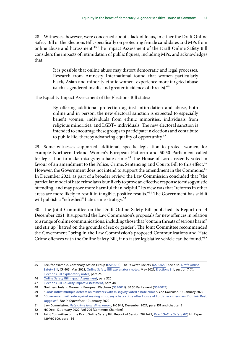28. Witnesses, however, were concerned about a lack of focus, in either the Draft Online Safety Bill or the Elections Bill, specifically on protecting female candidates and MPs from online abuse and harassment.45 The Impact Assessment of the Draft Online Safety Bill considers the impacts of intimidation of public figures, including MPs, and acknowledges that:

> It is possible that online abuse may distort democratic and legal processes. Research from Amnesty International found that women–particularly black, Asian and minority ethnic women–experience more targeted abuse (such as gendered insults and greater incidence of threats).<sup>46</sup>

The Equality Impact Assessment of the Elections Bill states:

By offering additional protection against intimidation and abuse, both online and in person, the new electoral sanction is expected to especially benefit women, individuals from ethnic minorities, individuals from religious minorities, and LGBT+ individuals. The new electoral sanction is intended to encourage these groups to participate in elections and contribute to public life, thereby advancing equality of opportunity.<sup>47</sup>

29. Some witnesses supported additional, specific legislation to protect women, for example Northern Ireland Women's European Platform and 50:50 Parliament called for legislation to make misogyny a hate crime.<sup>48</sup> The House of Lords recently voted in favour of an amendment to the Police, Crime, Sentencing and Courts Bill to this effect.<sup>49</sup> However, the Government does not intend to support the amendment in the Commons.<sup>50</sup> In December 2021, as part of a broader review, the Law Commission concluded that "the particular model of hate crime laws is unlikely to prove an effective response to misogynistic offending, and may prove more harmful than helpful." Its view was that "reforms in other areas are more likely to result in tangible, positive results."51 The Government has said it will publish a "refreshed" hate crime strategy.<sup>52</sup>

30. The Joint Committee on the Draft Online Safety Bill published its Report on 14 December 2021. It supported the Law Commission's proposals for new offences in relation to a range of online communications, including those that "contain threats of serious harm" and stir up "hatred on the grounds of sex or gender". The Joint Committee recommended the Government "bring in the Law Commission's proposed Communications and Hate Crime offences with the Online Safety Bill, if no faster legislative vehicle can be found."53

<sup>45</sup> See, for example, Centenary Action Group [\(GSP0018](https://committees.parliament.uk/writtenevidence/25389/pdf/)); The Fawcett Society [\(GSP0020](https://committees.parliament.uk/writtenevidence/25393/pdf/)); see also, [Draft Online](https://assets.publishing.service.gov.uk/government/uploads/system/uploads/attachment_data/file/985033/Draft_Online_Safety_Bill_Bookmarked.pdf)  [Safety Bill](https://assets.publishing.service.gov.uk/government/uploads/system/uploads/attachment_data/file/985033/Draft_Online_Safety_Bill_Bookmarked.pdf), CP 405, May 2021; [Online Safety Bill explanatory notes,](https://assets.publishing.service.gov.uk/government/uploads/system/uploads/attachment_data/file/985031/Explanatory_Notes_Accessible.pdf) May 2021; [Elections Bill,](https://publications.parliament.uk/pa/bills/cbill/58-02/0138/210138.pdf) section 7 (4); [Elections Bill explanatory notes,](https://publications.parliament.uk/pa/bills/cbill/58-02/0138/en/210138en.pdf) para 218

<sup>46</sup> [Online Safety Bill Impact Assessment](https://assets.publishing.service.gov.uk/government/uploads/system/uploads/attachment_data/file/985283/Draft_Online_Safety_Bill_-_Impact_Assessment_Web_Accessible.pdf), para 320

<sup>47</sup> [Elections Bill Equality Impact Assessment,](https://publications.parliament.uk/pa/bills/cbill/58-02/0138/2021-07-01ElectoralIntegrityBillEqualityImpactAssessment.pdf) para 48

<sup>48</sup> Northern Ireland Women's European Platform [\(GSP0011](https://committees.parliament.uk/writtenevidence/25312/pdf/)); 50:50 Parliament ([GSP0024\)](https://committees.parliament.uk/writtenevidence/25404/pdf/)

<sup>49</sup> "[Lords inflict multiple defeats on ministers with misogyny voted a hate crime"](https://www.theguardian.com/society/2022/jan/18/government-defeated-as-lords-vote-to-make-misogyny-a-hate), *The Guardian*, 18 January 2022

<sup>50</sup> "[Government will vote against making misogyny a hate crime after House of Lords backs new law, Dominic Raab](https://www.independent.co.uk/news/uk/politics/misogyny-hate-crime-law-raab-b1995499.html) [suggests](https://www.independent.co.uk/news/uk/politics/misogyny-hate-crime-law-raab-b1995499.html)", *The Independent*, 19 January 2022

<sup>51</sup> Law Commission, *[Hate crime laws: Final report](https://s3-eu-west-2.amazonaws.com/lawcom-prod-storage-11jsxou24uy7q/uploads/2021/12/Hate-crime-report-accessible.pdf)*, HC 942, December 2021, para 151 and chapter 5

<sup>52</sup> HC Deb, 12 January 2022, Vol 706 [Commons Chamber]

<sup>53</sup> Joint Committee on the Draft Online Safety Bill, Report of Session 2021–22, *[Draft Online Safety Bill](https://publications.parliament.uk/pa/jt5802/jtselect/jtonlinesafety/129/129.pdf)*, HL Paper 129/HC 609, para 136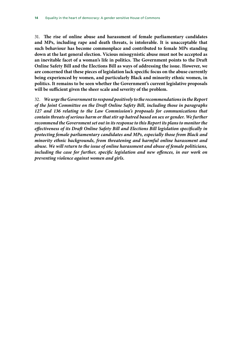31. **The rise of online abuse and harassment of female parliamentary candidates and MPs, including rape and death threats, is intolerable. It is unacceptable that such behaviour has become commonplace and contributed to female MPs standing down at the last general election. Vicious misogynistic abuse must not be accepted as an inevitable facet of a woman's life in politics. The Government points to the Draft Online Safety Bill and the Elections Bill as ways of addressing the issue. However, we are concerned that these pieces of legislation lack specific focus on the abuse currently being experienced by women, and particularly Black and minority ethnic women, in politics. It remains to be seen whether the Government's current legislative proposals will be sufficient given the sheer scale and severity of the problem.**

32. *We urge the Government to respond positively to the recommendations in the Report of the Joint Committee on the Draft Online Safety Bill, including those in paragraphs 127 and 136 relating to the Law Commission's proposals for communications that contain threats of serious harm or that stir up hatred based on sex or gender. We further recommend the Government set out in its response to this Report its plans to monitor the effectiveness of its Draft Online Safety Bill and Elections Bill legislation specifically in protecting female parliamentary candidates and MPs, especially those from Black and minority ethnic backgrounds, from threatening and harmful online harassment and abuse. We will return to the issue of online harassment and abuse of female politicians, including the case for further, specific legislation and new offences, in our work on preventing violence against women and girls.*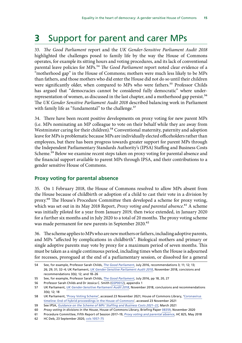## <span id="page-16-0"></span>**3** Support for parent and carer MPs

33. *The Good Parliament* report and the *UK Gender-Sensitive Parliament Audit 2018* highlighted the challenges posed to family life by the way the House of Commons operates, for example its sitting hours and voting procedures, and its lack of conventional parental leave policies for MPs.<sup>54</sup> *The Good Parliament* report noted clear evidence of a "motherhood gap" in the House of Commons; mothers were much less likely to be MPs than fathers, and those mothers who did enter the House did not do so until their children were significantly older, when compared to MPs who were fathers.<sup>55</sup> Professor Childs has argued that "democracies cannot be considered fully democratic" where underrepresentation of women, as discussed in the last chapter, and a motherhood gap persist.<sup>56</sup> The *UK Gender Sensitive Parliament Audit 2018* described balancing work in Parliament with family life as "fundamental" to the challenge.<sup>57</sup>

34. There have been recent positive developments on proxy voting for new parent MPs (i.e. MPs nominating an MP colleague to vote on their behalf while they are away from Westminster caring for their children).<sup>58</sup> Conventional maternity, paternity and adoption leave for MPs is problematic because MPs are individually elected officeholders rather than employees, but there has been progress towards greater support for parent MPs through the Independent Parliamentary Standards Authority's (IPSA) Staffing and Business Costs Scheme.<sup>59</sup> Below we examine recent steps taken on proxy voting for parental absence and the financial support available to parent MPs through IPSA, and their contributions to a gender sensitive House of Commons.

#### **Proxy voting for parental absence**

35. On 1 February 2018, the House of Commons resolved to allow MPs absent from the House because of childbirth or adoption of a child to cast their vote in a division by proxy.60 The House's Procedure Committee then developed a scheme for proxy voting, which was set out in its May 2018 Report, *Proxy voting and parental absence*.<sup>61</sup> A scheme was initially piloted for a year from January 2019, then twice extended, in January 2020 for a further six months and in July 2020 to a total of 20 months. The proxy voting scheme was made permanent for new parents in September 2020.<sup>62</sup>

36. The scheme applies to MPs who are new mothers or fathers, including adoptive parents, and MPs "affected by complications in childbirth". Biological mothers and primary or single adoptive parents may vote by proxy for a maximum period of seven months. This must be taken as a single continuous period, including times when the House is adjourned for recesses, prorogued at the end of a parliamentary session, or dissolved for a general

<sup>54</sup> See, for example, Professor Sarah Childs, *[The Good Parliament](https://www.bristol.ac.uk/media-library/sites/news/2016/july/20%20Jul%20Prof%20Sarah%20Childs%20The%20Good%20Parliament%20report.pdf)*, July 2016, recommendations 3; 11; 12; 13; 26; 29; 31; 32–4; UK Parliament, *[UK Gender-Sensitive Parliament Audit 2018](https://www.parliament.uk/globalassets/documents/lords-information-office/uk-parliament_-gender-sensitive-parliament-audit_report_digital.pdf)*, November 2018, concisions and recommendations 3(b); 12; and 18–26

<sup>55</sup> See, for example, Professor Sarah Childs, *[The Good Parliament](https://www.bristol.ac.uk/media-library/sites/news/2016/july/20%20Jul%20Prof%20Sarah%20Childs%20The%20Good%20Parliament%20report.pdf)*, July 2016, pp 18, 20, 27

<sup>56</sup> Professor Sarah Childs and Dr Jessica C. Smith [\(GSP0012\)](https://committees.parliament.uk/writtenevidence/25329/pdf/), appendix 1

<sup>57</sup> UK Parliament, *[UK Gender-Sensitive Parliament Audit 2018](https://www.parliament.uk/globalassets/documents/lords-information-office/uk-parliament_-gender-sensitive-parliament-audit_report_digital.pdf)*, November 2018, conclusions and recommendations 3(b); 12; 18

<sup>58</sup> UK Parliament, '[Proxy Voting Scheme](https://www.parliament.uk/business/publications/commons/proxy-voting-scheme/)', accessed 23 November 2021; House of Commons Library, '[Coronavirus](https://commonslibrary.parliament.uk/coronavirus-timeline-end-of-hybrid-proceedings-in-the-house-of-commons/)  [timeline: End of hybrid proceedings in the House of Commons'](https://commonslibrary.parliament.uk/coronavirus-timeline-end-of-hybrid-proceedings-in-the-house-of-commons/), accessed 23 November 2021

<sup>59</sup> See IPSA, *[Guidance on the Scheme of MPs' Staffing and Business Costs 2021–22](https://assets.ctfassets.net/nc7h1cs4q6ic/6Csk1RrWdqDTWPAhyBKjwx/61520759e5e575039db7341e1c673a7a/Scheme_2021-22_Guidance_FINAL.pdf)*, March 2021

<sup>60</sup> *Proxy voting in divisions in the House*, House of Commons Library, Briefing Paper [08359](https://researchbriefings.files.parliament.uk/documents/CBP-8359/CBP-8359.pdf), November 2020 61 Procedure Committee, Fifth Report of Session 2017–19, *[Proxy voting and parental absence](https://publications.parliament.uk/pa/cm201719/cmselect/cmproced/825/825.pdf)*, HC 825, May 2018

<sup>62</sup> HC Deb, 23 September 2020, [cols 1057–75](https://hansard.parliament.uk/Commons/2020-09-23/debates/C3AA197A-A1CD-49BB-B6E2-49E920F58853/ProxyVoting)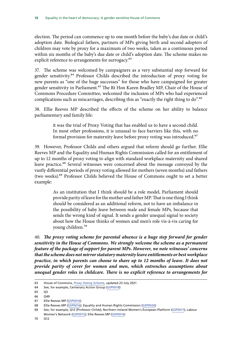election. The period can commence up to one month before the baby's due date or child's adoption date. Biological fathers, partners of MPs giving birth and second adopters of children may vote by proxy for a maximum of two weeks, taken as a continuous period within six months of the baby's due date or child's adoption date. The scheme makes no explicit reference to arrangements for surrogacy.<sup>63</sup>

37. The scheme was welcomed by campaigners as a very substantial step forward for gender sensitivity.64 Professor Childs described the introduction of proxy voting for new parents as "one of the huge successes" for those who have campaigned for greater gender sensitivity in Parliament.<sup>65</sup> The Rt Hon Karen Bradley MP, Chair of the House of Commons Procedure Committee, welcomed the inclusion of MPs who had experienced complications such as miscarriages, describing this as "exactly the right thing to do".<sup>66</sup>

38. Ellie Reeves MP described the effects of the scheme on her ability to balance parliamentary and family life:

> it was the trial of Proxy Voting that has enabled us to have a second child. In most other professions, it is unusual to face barriers like this, with no formal provision for maternity leave before proxy voting was introduced.<sup>67</sup>

39. However, Professor Childs and others argued that reform should go further. Ellie Reeves MP and the Equality and Human Rights Commission called for an entitlement of up to 12 months of proxy voting to align with standard workplace maternity and shared leave practice.<sup>68</sup> Several witnesses were concerned about the message conveyed by the vastly differential periods of proxy voting allowed for mothers (seven months) and fathers (two weeks).69 Professor Childs believed the House of Commons ought to set a better example:

> As an institution that I think should be a role model, Parliament should provide parity of leave for the mother and father MP. That is one thing I think should be considered as an additional reform, not to have an imbalance in the possibility of baby leave between male and female MPs, because that sends the wrong kind of signal. It sends a gender unequal signal to society about how the House thinks of women and men's role vis-à-vis caring for young children.70

40. *The proxy voting scheme for parental absence is a huge step forward for gender sensitivity in the House of Commons. We strongly welcome the scheme as a permanent feature of the package of support for parent MPs. However, we note witnesses' concerns that the scheme does not mirror statutory maternity leave entitlements or best workplace practice, in which parents can choose to share up to 12 months of leave. It does not provide parity of cover for women and men, which entrenches assumptions about unequal gender roles in childcare. There is no explicit reference to arrangements for* 

<sup>63</sup> House of Commons, *[Proxy Voting Scheme](https://www.parliament.uk/globalassets/july-2021-proxy-voting-scheme.pdf)*, updated 23 July 2021

<sup>64</sup> See, for example, Centenary Action Group [\(GSP0018](https://committees.parliament.uk/writtenevidence/25389/pdf/))

<sup>65</sup> Q3

<sup>66</sup> Q49

<sup>67</sup> Ellie Reeves MP ([GSP0016\)](https://committees.parliament.uk/writtenevidence/25387/pdf/)

<sup>68</sup> Ellie Reeves MP ([GSP0016\)](https://committees.parliament.uk/writtenevidence/25387/pdf/); Equality and Human Rights Commission ([GSP0026\)](https://committees.parliament.uk/writtenevidence/25407/pdf/)

<sup>69</sup> See, for example, Q12 [Professor Childs]; Northern Ireland Women's European Platform [\(GSP0011\)](https://committees.parliament.uk/writtenevidence/25312/pdf/); Labour Women's Network ([GSP0015](https://committees.parliament.uk/writtenevidence/25386/pdf/)); Ellie Reeves MP [\(GSP0016\)](https://committees.parliament.uk/writtenevidence/25387/pdf/)

<sup>70</sup> Q12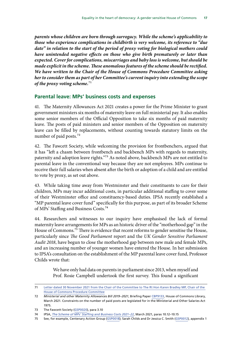<span id="page-18-0"></span>*parents whose children are born through surrogacy. While the scheme's applicability to those who experience complications in childbirth is very welcome, its reference to "due date" in relation to the start of the period of proxy voting for biological mothers could have unintended negative effects on those who give birth prematurely or later than expected. Cover for complications, miscarriages and baby loss is welcome, but should be*  made explicit in the scheme. These anomalous features of the scheme should be rectified. *We have written to the Chair of the House of Commons Procedure Committee asking her to consider them as part of her Committee's current inquiry into extending the scope of the proxy voting scheme.*71

#### **Parental leave: MPs' business costs and expenses**

41. The Maternity Allowances Act 2021 creates a power for the Prime Minister to grant government ministers six months of maternity leave on full ministerial pay. It also enables some senior members of the Official Opposition to take six months of paid maternity leave. The posts of paid ministers and senior members of the Opposition on maternity leave can be filled by replacements, without counting towards statutory limits on the number of paid posts.<sup>72</sup>

42. The Fawcett Society, while welcoming the provision for frontbenchers, argued that it has "left a chasm between frontbench and backbench MPs with regards to maternity, paternity and adoption leave rights."73 As noted above, backbench MPs are not entitled to parental leave in the conventional way because they are not employees. MPs continue to receive their full salaries when absent after the birth or adoption of a child and are entitled to vote by proxy, as set out above.

43. While taking time away from Westminster and their constituents to care for their children, MPs may incur additional costs, in particular additional staffing to cover some of their Westminster office and constituency-based duties. IPSA recently established a "MP parental leave cover fund" specifically for this purpose, as part of its broader Scheme of MPs' Staffing and Business Costs.74

44. Researchers and witnesses to our inquiry have emphasised the lack of formal maternity leave arrangements for MPs as an historic driver of the "motherhood gap" in the House of Commons.<sup>75</sup> There is evidence that recent reforms to gender sensitise the House, particularly since *The Good Parliament* report and the *UK Gender Sensitive Parliament Audit 2018*, have begun to close the motherhood gap between new male and female MPs, and an increasing number of younger women have entered the House. In her submission to IPSA's consultation on the establishment of the MP parental leave cover fund, Professor Childs wrote that:

> We have only had data on parents in parliament since 2013, when myself and Prof. Rosie Campbell undertook the first survey. This found a significant

<sup>71</sup> [Letter dated 30 November 2021 from the Chair of the Committee to The Rt Hon Karen Bradley MP, Chair of the](https://committees.parliament.uk/publications/8151/documents/83454/default/)  [House of Commons Procedure Committee](https://committees.parliament.uk/publications/8151/documents/83454/default/)

<sup>72</sup> *Ministerial and other Maternity Allowances Bill 2019–2021*, Briefing Paper [CBP9133,](https://researchbriefings.files.parliament.uk/documents/CBP-9133/CBP-9133.pdf) House of Commons Library, March 2021. Constraints on the number of paid posts are legislated for in the Ministerial and Other Salaries Act 1975.

<sup>73</sup> The Fawcett Society [\(GSP0020](https://committees.parliament.uk/writtenevidence/25393/pdf/)), para 3.10

<sup>74</sup> IPSA, *[The Scheme of MPs' Staffing and Business Costs 2021–22](https://assets.ctfassets.net/nc7h1cs4q6ic/6FjW4RDyApa0L6l1M3ZRnT/0a3e2e21057677af588c084bfbcef0cb/The_Scheme_of_MPs____Staffing_and_Business_Costs_2021-22.pdf)*, March 2021, paras 10.12–10.15

<sup>75</sup> See, for example, Centenary Action Group [\(GSP0018](https://committees.parliament.uk/writtenevidence/25389/pdf/)); Sarah Childs and Dr Jessica C. Smith ([GSP0012](https://committees.parliament.uk/writtenevidence/25329/pdf/)), appendix 1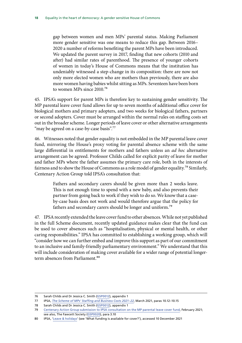gap between women and men MPs' parental status. Making Parliament more gender sensitive was one means to reduce this gap. Between 2016– 2020 a number of reforms benefiting the parent MPs have been introduced. We updated the parent survey in 2017, finding that new cohorts (2010 and after) had similar rates of parenthood. The presence of younger cohorts of women in today's House of Commons means that the institution has undeniably witnessed a step-change in its composition: there are now not only more elected women who are mothers than previously, there are also more women having babies whilst sitting as MPs. Seventeen have been born to women MPs since 2010.76

45. IPSA's support for parent MPs is therefore key to sustaining gender sensitivity. The MP parental leave cover fund allows for up to seven months of additional office cover for biological mothers and primary adopters, and two weeks for biological fathers, partners or second adopters. Cover must be arranged within the normal rules on staffing costs set out in the broader scheme. Longer periods of leave cover or other alternative arrangements "may be agreed on a case-by-case basis".<sup>77</sup>

46. Witnesses noted that gender equality is not embedded in the MP parental leave cover fund, mirroring the House's proxy voting for parental absence scheme with the same large differential in entitlements for mothers and fathers unless an *ad hoc* alternative arrangement can be agreed. Professor Childs called for explicit parity of leave for mother and father MPs where the father assumes the primary care role, both in the interests of fairness and to show the House of Commons as a role model of gender equality.<sup>78</sup> Similarly, Centenary Action Group told IPSA's consultation that:

> Fathers and secondary carers should be given more than 2 weeks leave. This is not enough time to spend with a new baby, and also prevents their partner from going back to work if they wish to do so. We know that a caseby-case basis does not work and would therefore argue that the policy for fathers and secondary carers should be longer and uniform.79

47. IPSA recently extended the leave cover fund to other absences. While not yet published in the full Scheme document, recently updated guidance makes clear that the fund can be used to cover absences such as "hospitalisation, physical or mental health, or other caring responsibilities." IPSA has committed to establishing a working group, which will "consider how we can further embed and improve this support as part of our commitment to an inclusive and family-friendly parliamentary environment." We understand that this will include consideration of making cover available for a wider range of potential longerterm absences from Parliament.<sup>80</sup>

<sup>76</sup> Sarah Childs and Dr Jessica C. Smith ([GSP0012](https://committees.parliament.uk/writtenevidence/25329/pdf/)), appendix 1

<sup>77</sup> IPSA, *[The Scheme of MPs' Staffing and Business Costs 2021–22](https://assets.ctfassets.net/nc7h1cs4q6ic/6FjW4RDyApa0L6l1M3ZRnT/0a3e2e21057677af588c084bfbcef0cb/The_Scheme_of_MPs____Staffing_and_Business_Costs_2021-22.pdf)*, March 2021, paras 10.12–10.15

<sup>78</sup> Sarah Childs and Dr Jessica C. Smith ([GSP0012](https://committees.parliament.uk/writtenevidence/25329/pdf/)), appendix 1

<sup>79</sup> [Centenary Action Group submission to IPSA consultation on the MP parental leave cover fund,](https://static1.squarespace.com/static/5f6c6785a30f513e35cda046/t/6033acfee647656718516dad/1613999358778/Funding+for+MP+paren) February 2021; see also, The Fawcett Society [\(GSP0020](https://committees.parliament.uk/writtenevidence/25393/pdf/)), para 3.10

<sup>80</sup> IPSA, 'Leave & holidays' (see 'What funding is available for cover?'), accessed 10 December 2021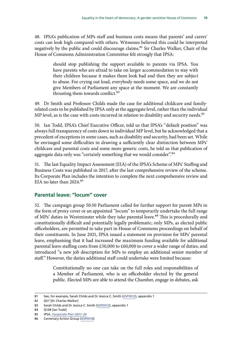<span id="page-20-0"></span>48. IPSA's publication of MPs staff and business costs means that parents' and carers' costs can look high compared with others. Witnesses believed this could be interpreted negatively by the public and could discourage claims.<sup>81</sup> Sir Charles Walker, Chair of the House of Commons Administration Committee felt strongly that IPSA:

> should stop publishing the support available to parents via IPSA. You have parents who are afraid to take on larger accommodation to stay with their children because it makes them look bad and then they are subject to abuse. For crying out loud, everybody needs some space, and we do not give Members of Parliament any space at the moment. We are constantly thrusting them towards conflict.<sup>82</sup>

49. Dr Smith and Professor Childs made the case for additional childcare and familyrelated costs to be published by IPSA only at the aggregate level, rather than the individual MP level, as is the case with costs incurred in relation to disability and security needs.<sup>83</sup>

50. Ian Todd, IPSA's Chief Executive Officer, told us that IPSA's "default position" was always full transparency of costs down to individual MP level, but he acknowledged that a precedent of exceptions in some cases, such as disability and security, had been set. While he envisaged some difficulties in drawing a sufficiently clear distinction between MPs' childcare and parental costs and some more generic costs, he told us that publication of aggregate data only was "certainly something that we would consider".<sup>84</sup>

51. The last Equality Impact Assessment (EIA) of the IPSA's Scheme of MPs' Staffing and Business Costs was published in 2017, after the last comprehensive review of the scheme. Its Corporate Plan includes the intention to complete the next comprehensive review and EIA no later than 2024.85

#### **Parental leave: "locum" cover**

52. The campaign group 50:50 Parliament called for further support for parent MPs in the form of proxy cover or an appointed "locum" to temporarily undertake the full range of MPs' duties in Westminster while they take parental leave.<sup>86</sup> This is procedurally and constitutionally difficult and potentially legally problematic; only MPs, as elected public officeholders, are permitted to take part in House of Commons proceedings on behalf of their constituents. In June 2021, IPSA issued a statement on provision for MPs' parental leave, emphasising that it had increased the maximum funding available for additional parental leave staffing costs from £50,000 to £60,000 to cover a wider range of duties, and introduced "a new job description for MPs to employ an additional senior member of staff." However, the duties additional staff could undertake were limited because:

> Constitutionally no one can take on the full roles and responsibilities of a Member of Parliament, who is an officeholder elected by the general public. Elected MPs are able to attend the Chamber, engage in debates, ask

<sup>81</sup> See, for example, Sarah Childs and Dr Jessica C. Smith ([GSP0012](https://committees.parliament.uk/writtenevidence/25329/pdf/)), appendix 1

<sup>82</sup> Q57 [Sir Charles Walker]

<sup>83</sup> Sarah Childs and Dr Jessica C. Smith ([GSP0012](https://committees.parliament.uk/writtenevidence/25329/pdf/)), appendix 1

<sup>84</sup> Q128 [Ian Todd]

<sup>85</sup> IPSA, *[Corporate Plan 2021–24](https://assets.ctfassets.net/nc7h1cs4q6ic/2JDfvSn2Tvcdrcnte2xvff/50258b6561ca0b47ac56a8a1dbcd0592/IPSA_Corporate_Plan_2021-24.pdf)*

<sup>86</sup> Centenary Action Group [\(GSP0018](https://committees.parliament.uk/writtenevidence/25389/pdf/))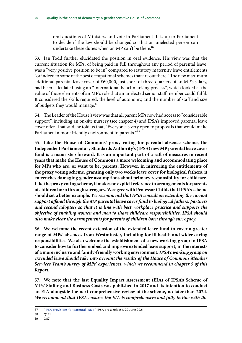oral questions of Ministers and vote in Parliament. It is up to Parliament to decide if the law should be changed so that an unelected person can undertake these duties when an MP can't be there.<sup>87</sup>

53. Ian Todd further elucidated the position in oral evidence. His view was that the current situation for MPs, of being paid in full throughout any period of parental leave, was a "very positive position to be in" compared to statutory maternity leave entitlements "or indeed to some of the best occupational schemes that are out there." The new maximum additional parental leave cover of £60,000, just short of three-quarters of an MP's salary, had been calculated using an "international benchmarking process", which looked at the value of those elements of an MP's role that an unelected senior staff member could fulfil. It considered the skills required, the level of autonomy, and the number of staff and size of budgets they would manage.<sup>88</sup>

54. The Leader of the House's view was that all parent MPs now had access to "considerable support", including an on-site nursery (see chapter 4) and IPSA's improved parental leave cover offer. That said, he told us that, "Everyone is very open to proposals that would make Parliament a more friendly environment to parents."<sup>89</sup>

55. **Like the House of Commons' proxy voting for parental absence scheme, the Independent Parliamentary Standards Authority's (IPSA) new MP parental leave cover fund is a major step forward. It is an important part of a raft of measures in recent years that make the House of Commons a more welcoming and accommodating place for MPs who are, or want to be, parents. However, in mirroring the entitlements of the proxy voting scheme, granting only two weeks leave cover for biological fathers, it entrenches damaging gender assumptions about primary responsibility for childcare. Like the proxy voting scheme, it makes no explicit reference to arrangements for parents of children born through surrogacy.We agree with Professor Childs that IPSA's scheme should set a better example.** *We recommend that IPSA consult on extending the current support offered through the MP parental leave cover fund to biological fathers, partners and second adopters so that it is line with best workplace practice and supports the objective of enabling women and men to share childcare responsibilities. IPSA should also make clear the arrangements for parents of children born through surrogacy.*

56. **We welcome the recent extension of the extended leave fund to cover a greater range of MPs' absences from Westminster, including for ill health and wider caring responsibilities. We also welcome the establishment of a new working group in IPSA to consider how to further embed and improve extended leave support, in the interests of a more inclusive and family-friendly working environment.** *IPSA's working group on extended leave should take into account the results of the House of Commons Member Services Team's survey of MPs' experiences, which we recommend in chapter 5 of this Report.*

57. **We note that the last Equality Impact Assessment (EIA) of IPSA's Scheme of MPs' Staffing and Business Costs was published in 2017 and its intention to conduct an EIA alongside the next comprehensive review of the scheme, no later than 2024.** *We recommend that IPSA ensures the EIA is comprehensive and fully in line with the* 

<sup>87</sup> "[IPSA provisions for parental leave"](https://www.theipsa.org.uk/news/ipsa-provisions-for-parental-leave), IPSA press release, 29 June 2021

<sup>88</sup> Q131

<sup>89</sup> Q87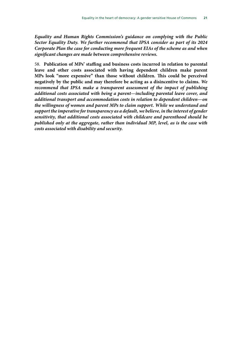*Equality and Human Rights Commission's guidance on complying with the Public Sector Equality Duty. We further recommend that IPSA consider as part of its 2024 Corporate Plan the case for conducting more frequent EIAs of the scheme as and when significant changes are made between comprehensive reviews.*

58. **Publication of MPs' staffing and business costs incurred in relation to parental leave and other costs associated with having dependent children make parent MPs look "more expensive" than those without children. This could be perceived negatively by the public and may therefore be acting as a disincentive to claims.** *We recommend that IPSA make a transparent assessment of the impact of publishing additional costs associated with being a parent—including parental leave cover, and additional transport and accommodation costs in relation to dependent children—on the willingness of women and parent MPs to claim support. While we understand and support the imperative for transparency as a default, we believe, in the interest of gender sensitivity, that additional costs associated with childcare and parenthood should be published only at the aggregate, rather than individual MP, level, as is the case with costs associated with disability and security.*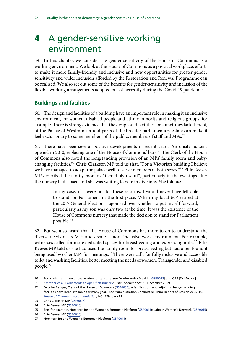## <span id="page-23-0"></span>**4** A gender-sensitive working environment

59. In this chapter, we consider the gender-sensitivity of the House of Commons as a working environment. We look at the House of Commons as a physical workplace, efforts to make it more family-friendly and inclusive and how opportunities for greater gender sensitivity and wider inclusion afforded by the Restoration and Renewal Programme can be realised. We also set out some of the benefits for gender-sensitivity and inclusion of the flexible working arrangements adopted out of necessity during the Covid-19 pandemic.

#### **Buildings and facilities**

60. The design and facilities of a building have an important role in making it an inclusive environment, for women, disabled people and ethnic minority and religious groups, for example. There is strong evidence that the design and facilities, or sometimes lack thereof, of the Palace of Westminster and parts of the broader parliamentary estate can make it feel exclusionary to some members of the public, members of staff and MPs.<sup>90</sup>

61. There have been several positive developments in recent years. An onsite nursery opened in 2010, replacing one of the House of Commons' bars.<sup>91</sup> The Clerk of the House of Commons also noted the longstanding provision of an MPs' family room and babychanging facilities.92 Chris Clarkson MP told us that, "For a Victorian building I believe we have managed to adapt the palace well to serve members of both sexes."<sup>93</sup> Ellie Reeves MP described the family room as "incredibly useful", particularly in the evenings after the nursery had closed and she was waiting to vote in divisions. She told us:

> In my case, if it were not for these reforms, I would never have felt able to stand for Parliament in the first place. When my local MP retired at the 2017 General Election, I agonised over whether to put myself forward, particularly as my son was only two at the time. It was the existence of the House of Commons nursery that made the decision to stand for Parliament possible.94

62. But we also heard that the House of Commons has more to do to understand the diverse needs of its MPs and create a more inclusive work environment. For example, witnesses called for more dedicated spaces for breastfeeding and expressing milk.<sup>95</sup> Ellie Reeves MP told us she had used the family room for breastfeeding but had often found it being used by other MPs for meetings.<sup>96</sup> There were calls for fully inclusive and accessible toilet and washing facilities, better meeting the needs of women, Transgender and disabled people.97

<sup>90</sup> For a brief summary of the academic literature, see Dr Alexandra Meakin ([GSP0022\)](https://committees.parliament.uk/writtenevidence/25398/pdf/) and Q22 [Dr Meakin]

<sup>91</sup> "[Mother of all Parliaments to open first nursery](https://www.independent.co.uk/news/uk/politics/mother-of-all-parliaments-to-open-first-nursery-1841983.html)", *The Independent*, 16 December 2009

<sup>92</sup> Dr John Benger, Clerk of the House of Commons ([GSP0030](https://committees.parliament.uk/writtenevidence/25689/pdf/)); a family room and adjoining baby-changing facilities have been available for many years, see Administration Committee, Third Report of Session 2005–06, *[House of Commons Accommodation](https://www.parliament.uk/globalassets/documents/foi/151121a.pdf)*, HC 1279, para 81

<sup>93</sup> Chris Clarkson MP [\(GSP0027](https://committees.parliament.uk/writtenevidence/25491/pdf/))

<sup>94</sup> Ellie Reeves MP ([GSP0016\)](https://committees.parliament.uk/writtenevidence/25387/pdf/)

<sup>95</sup> See, for example, Northern Ireland Women's European Platform [\(GSP0011](https://committees.parliament.uk/writtenevidence/25312/pdf/)); Labour Women's Network [\(GSP0015\)](https://committees.parliament.uk/writtenevidence/25386/pdf/)

<sup>96</sup> Ellie Reeves MP ([GSP0016\)](https://committees.parliament.uk/writtenevidence/25387/pdf/)

<sup>97</sup> Northern Ireland Women's European Platform [\(GSP0011](https://committees.parliament.uk/writtenevidence/25312/pdf/))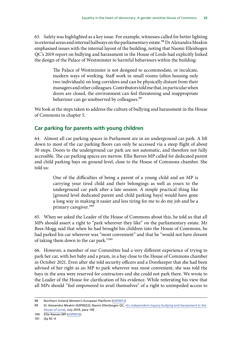<span id="page-24-0"></span>63. Safety was highlighted as a key issue. For example, witnesses called for better lighting in external areas and internal hallways on the parliamentary estate.<sup>98</sup> Dr Alexandra Meakin emphasised issues with the internal layout of the building, noting that Naomi Ellenbogen QC's 2019 report on bullying and harassment in the House of Lords had explicitly linked the design of the Palace of Westminster to harmful behaviours within the building:

> The Palace of Westminster is not designed to accommodate, or inculcate, modern ways of working. Staff work in small rooms (often housing only two individuals) on long corridors and can be physically distant from their managers and other colleagues. Contributors told me that, in particular when doors are closed, the environment can feel threatening and inappropriate behaviour can go unobserved by colleagues.<sup>99</sup>

We look at the steps taken to address the culture of bullying and harassment in the House of Commons in chapter 5.

#### **Car parking for parents with young children**

64. Almost all car parking spaces in Parliament are in an underground car park. A lift down to most of the car parking floors can only be accessed via a steep flight of about 30 steps. Doors to the underground car park are not automatic, and therefore not fully accessible. The car parking spaces are narrow. Ellie Reeves MP called for dedicated parent and child parking bays on ground level, close to the House of Commons chamber. She told us:

> One of the difficulties of being a parent of a young child and an MP is carrying your tired child and their belongings as well as yours to the underground car park after a late session. A simple practical thing like [ground level dedicated parent and child parking bays] would have gone a long way in making it easier and less tiring for me to do my job and be a primary caregiver.100

65. When we asked the Leader of the House of Commons about this, he told us that all MPs should assert a right to "park wherever they like" on the parliamentary estate. Mr Rees-Mogg said that when he had brought his children into the House of Commons, he had parked his car wherever was "most convenient" and that he "would not have dreamt of taking them down to the car park."101

66. However, a member of our Committee had a very different experience of trying to park her car, with her baby and a pram, in a bay close to the House of Commons chamber in October 2021. Even after she told security officers and a Doorkeeper that she had been advised of her right as an MP to park wherever was most convenient, she was told the bays in the area were reserved for contractors and she could not park there. We wrote to the Leader of the House for clarification of his evidence. While reiterating his view that all MPs should "feel empowered to avail themselves" of a right to unimpeded access to

<sup>98</sup> Northern Ireland Women's European Platform [\(GSP0011](https://committees.parliament.uk/writtenevidence/25312/pdf/))

<sup>99</sup> Dr Alexandra Meakin (GSP0022); Naomi Ellenbogen QC, *[An independent inquiry bullying and harassment in the](https://www.parliament.uk/globalassets/documents/lords-committees/house-of-lords-commission/2017-19/ellenbogen-report.pdf)  [House of Lords](https://www.parliament.uk/globalassets/documents/lords-committees/house-of-lords-commission/2017-19/ellenbogen-report.pdf)*, July 2019, para 149

<sup>100</sup> Ellie Reeves MP ([GSP0016\)](https://committees.parliament.uk/writtenevidence/25387/pdf/)

<sup>101</sup> Qq 92–4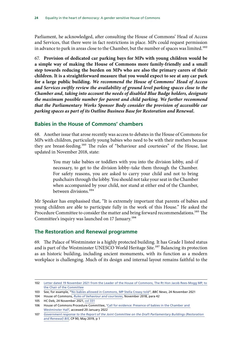<span id="page-25-0"></span>Parliament, he acknowledged, after consulting the House of Commons' Head of Access and Services, that there were in fact restrictions in place. MPs could request permission in advance to park in areas close to the Chamber, but the number of spaces was limited.<sup>102</sup>

67. **Provision of dedicated car parking bays for MPs with young children would be a simple way of making the House of Commons more family-friendly and a small step towards reducing the burden on MPs who are also the primary carers of their children. It is a straightforward measure that you would expect to see at any car park for a large public building.** *We recommend the House of Commons' Head of Access and Services swiftly review the availability of ground level parking spaces close to the Chamber and, taking into account the needs of disabled Blue Badge holders, designate the maximum possible number for parent and child parking. We further recommend that the Parliamentary Works Sponsor Body consider the provision of accessible car parking spaces as part of its Outline Business Base for Restoration and Renewal.*

#### **Babies in the House of Commons' chambers**

68. Another issue that arose recently was access to debates in the House of Commons for MPs with children, particularly young babies who need to be with their mothers because they are breast-feeding.<sup>103</sup> The rules of "behaviour and courtesies" of the House, last updated in November 2018, state:

> You may take babies or toddlers with you into the division lobby, and–if necessary, to get to the division lobby–take them through the Chamber. For safety reasons, you are asked to carry your child and not to bring pushchairs through the lobby. You should not take your seat in the Chamber when accompanied by your child, nor stand at either end of the Chamber, between divisions.104

Mr Speaker has emphasised that, "It is extremely important that parents of babies and young children are able to participate fully in the work of this House." He asked the Procedure Committee to consider the matter and bring forward recommendations.<sup>105</sup> The Committee's inquiry was launched on 17 January.<sup>106</sup>

#### **The Restoration and Renewal programme**

69. The Palace of Westminster is a highly protected building. It has Grade I listed status and is part of the Westminster UNESCO World Heritage Site.<sup>107</sup> Balancing its protection as an historic building, including ancient monuments, with its function as a modern workplace is challenging. Much of its design and internal layout remains faithful to the

<sup>102</sup> [Letter dated 19 November 2021 from the Leader of the House of Commons, The Rt Hon Jacob Rees-Mogg MP, to](https://committees.parliament.uk/publications/7975/documents/82338/default/)  [the Chair of the Committee](https://committees.parliament.uk/publications/7975/documents/82338/default/)

<sup>103</sup> See, for example, "[No babies allowed in Commons, MP Stella Creasy told](https://www.bbc.co.uk/news/uk-59396801)", *BBC News*, 24 November 2021

<sup>104</sup> House of Commons, *[Rules of behaviour and courtesies](https://www.parliament.uk/globalassets/documents/media/rules-of-behaviour-and-courtesies-in-the-house-of-commons-november-2018.pdf)*, November 2018, para 42

<sup>105</sup> HC Deb, 24 November 2021, [col 331](https://hansard.parliament.uk/commons/2021-11-24/debates/BF633A74-D089-4EFE-8C92-482D5935DCCE/Speaker%E2%80%99SStatement)

<sup>106</sup> House of Commons Procedure Committee, '[Call for evidence: Presence of babies in the Chamber and](https://committees.parliament.uk/call-for-evidence/699/)  [Westminster Hall'](https://committees.parliament.uk/call-for-evidence/699/), accessed 20 January 2022

<sup>107</sup> *Government response to the Report of the Joint Committee on the Draft Parliamentary Buildings (Restoration and Renewal) Bill*, CP 90, May 2019, p 1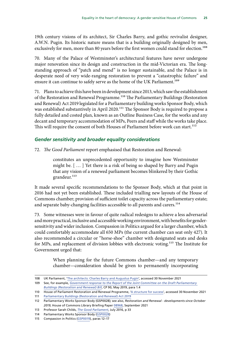<span id="page-26-0"></span>19th century visions of its architect, Sir Charles Barry, and gothic revivalist designer, A.W.N. Pugin. Its historic nature means that is a building originally designed by men, exclusively for men, more than 80 years before the first women could stand for election.<sup>108</sup>

70. Many of the Palace of Westminster's architectural features have never undergone major renovation since its design and construction in the mid-Victorian era. The longstanding approach of "patch and mend" is no longer sustainable, and the Palace is in desperate need of very wide-ranging restoration to prevent a "catastrophic failure" and ensure it can continue to safely serve as the home of the UK Parliament.<sup>109</sup>

71. Plans to achieve this have been in development since 2013, which saw the establishment of the Restoration and Renewal Programme.<sup>110</sup> The Parliamentary Buildings (Restoration and Renewal) Act 2019 legislated for a Parliamentary building works Sponsor Body, which was established substantively in April 2020.<sup>111</sup> The Sponsor Body is required to propose a fully detailed and costed plan, known as an Outline Business Case, for the works and any decant and temporary accommodation of MPs, Peers and staff while the works take place. This will require the consent of both Houses of Parliament before work can start.<sup>112</sup>

#### *Gender sensitivity and broader equality considerations*

72. *The Good Parliament* report emphasised that Restoration and Renewal:

constitutes an unprecedented opportunity to imagine how Westminster might be. [ … ] Yet there is a risk of being so shaped by Barry and Pugin that any vision of a renewed parliament becomes blinkered by their Gothic grandeur.<sup>113</sup>

It made several specific recommendations to the Sponsor Body, which at that point in 2016 had not yet been established. These included trialling new layouts of the House of Commons chamber; provision of sufficient toilet capacity across the parliamentary estate; and separate baby-changing facilities accessible to all parents and carers.<sup>114</sup>

73. Some witnesses were in favour of quite radical redesigns to achieve a less adversarial and more practical, inclusive and accessible working environment, with benefits for gendersensitivity and wider inclusion. Compassion in Politics argued for a larger chamber, which could comfortably accommodate all 650 MPs (the current chamber can seat only 427). It also recommended a circular or "horse-shoe" chamber with designated seats and desks for MPs, and replacement of division lobbies with electronic voting.115 The Institute for Government urged that:

> When planning for the future Commons chamber—and any temporary chamber—consideration should be given to permanently incorporating

<sup>108</sup> UK Parliament, '[The architects: Charles Barry and Augustus Pugin'](https://www.parliament.uk/about/living-heritage/building/palace/architecture/palacestructure/the-architects/), accessed 30 November 2021

<sup>109</sup> See, for example, *Government response to the Report of the Joint Committee on the Draft Parliamentary Buildings (Restoration and Renewal) Bill*, CP 90, May 2019, para 1.4

<sup>110</sup> House of Parliament Restoration and Renewal Programme, ['A structure for success'](https://www.restorationandrenewal.uk/about-us), accessed 30 November 2021

<sup>111</sup> [Parliamentary Buildings \(Restoration and Renewal\) Act 2019](https://www.legislation.gov.uk/ukpga/2019/27)

<sup>112</sup> Parliamentary Works Sponsor Body (GSP0028); see also, *Restoration and Renewal - developments since October 2019*, House of Commons Library Briefing Paper [08968](https://researchbriefings.files.parliament.uk/documents/CBP-8968/CBP-8968.pdf), September 2021

<sup>113</sup> Professor Sarah Childs, *[The Good Parliament](https://www.bristol.ac.uk/media-library/sites/news/2016/july/20%20Jul%20Prof%20Sarah%20Childs%20The%20Good%20Parliament%20report.pdf)*, July 2016, p 33

<sup>114</sup> Parliamentary Works Sponsor Body ([GSP0028\)](https://committees.parliament.uk/writtenevidence/25530/pdf/)

<sup>115</sup> Compassion in Politics ([GSP0019](https://committees.parliament.uk/writtenevidence/25390/pdf/)), paras 12–17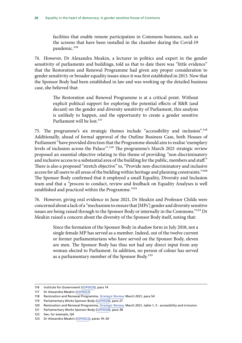facilities that enable remote participation in Commons business, such as the screens that have been installed in the chamber during the Covid-19 pandemic.<sup>116</sup>

74. However, Dr Alexandra Meakin, a lecturer in politics and expert in the gender sensitivity of parliaments and buildings, told us that to date there was "little evidence" that the Restoration and Renewal Programme had given any proper consideration to gender sensitivity or broader equality issues since it was first established in 2013. Now that the Sponsor Body had been established in law and was working up the detailed business case, she believed that:

> The Restoration and Renewal Programme is at a critical point. Without explicit political support for exploring the potential effects of R&R (and decant) on the gender and diversity sensitivity of Parliament, this analysis is unlikely to happen, and the opportunity to create a gender sensitive Parliament will be lost.<sup>117</sup>

75. The programme's six strategic themes include "accessibility and inclusion".118 Additionally, ahead of formal approval of the Outline Business Case, both Houses of Parliament "have provided direction that the Programme should aim to realise 'exemplary levels of inclusion across the Palace'".119 The programme's March 2021 strategic review proposed an essential objective relating to this theme of providing *"*non-discriminatory and inclusive access to a substantial area of the building for the public, members and staff." There is also a proposed "stretch objective" to, "Provide non-discriminatory and inclusive access for all users to all areas of the building within heritage and planning constraints."<sup>120</sup> The Sponsor Body confirmed that it employed a small Equality, Diversity and Inclusion team and that a *"*process to conduct, review and feedback on Equality Analyses is well established and practiced within the Programme*."*121

76. However, giving oral evidence in June 2021, Dr Meakin and Professor Childs were concerned about a lack of a "mechanism to ensure that [MPs'] gender and diversity sensitive issues are being raised through to the Sponsor Body or internally in the Commons."<sup>122</sup> Dr Meakin raised a concern about the diversity of the Sponsor Body itself, noting that:

> Since the formation of the Sponsor Body in shadow form in July 2018, not a single female MP has served as a member. Indeed, out of the twelve current or former parliamentarians who have served on the Sponsor Body, eleven are men. The Sponsor Body has thus not had any direct input from any woman elected to Parliament. In addition, no person of colour has served as a parliamentary member of the Sponsor Body.<sup>123</sup>

<sup>116</sup> Institute for Government ([GSP0029\)](https://committees.parliament.uk/writtenevidence/25621/pdf/), para 14

<sup>117</sup> Dr Alexandra Meakin [\(GSP0022](https://committees.parliament.uk/writtenevidence/25398/pdf/))

<sup>118</sup> Restoration and Renewal Programme, *[Strategic Review](https://assets.ctfassets.net/vuylkhqhtihf/6FHPwIY7BdBFQXRoPdadQq/461ecf229f91ff743153f8a49ef39080/4107-RRP-CO-SG-00003_01_U_v9_-_main_report.pdf)*, March 2021, para 54

<sup>119</sup> Parliamentary Works Sponsor Body ([GSP0028\)](https://committees.parliament.uk/writtenevidence/25530/pdf/), para 27

<sup>120</sup> Restoration and Renewal Programme, *[Strategic Review](https://assets.ctfassets.net/vuylkhqhtihf/6FHPwIY7BdBFQXRoPdadQq/461ecf229f91ff743153f8a49ef39080/4107-RRP-CO-SG-00003_01_U_v9_-_main_report.pdf)*, March 2021, table 1, 5 - accessibility and inclusion

<sup>121</sup> Parliamentary Works Sponsor Body ([GSP0028\)](https://committees.parliament.uk/writtenevidence/25530/pdf/), para 38

<sup>122</sup> See, for example, Q4

<sup>123</sup> Dr Alexandra Meakin [\(GSP0022](https://committees.parliament.uk/writtenevidence/25398/pdf/)), paras 19–20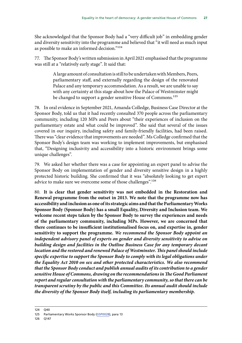She acknowledged that the Sponsor Body had a "very difficult job" in embedding gender and diversity sensitivity into the programme and believed that "it will need as much input as possible to make an informed decision."124

77. The Sponsor Body's written submission in April 2021 emphasised that the programme was still at a "relatively early stage". It said that:

> A large amount of consultation is still to be undertaken with Members, Peers, parliamentary staff, and externally regarding the design of the renovated Palace and any temporary accommodation. As a result, we are unable to say with any certainty at this stage about how the Palace of Westminster might be changed to support a gender sensitive House of Commons.<sup>125</sup>

78. In oral evidence in September 2021, Amanda Colledge, Business Case Director at the Sponsor Body, told us that it had recently consulted 370 people across the parliamentary community, including 120 MPs and Peers about "their experiences of inclusion on the parliamentary estate and what could be improved". She said that several of the issues covered in our inquiry, including safety and family-friendly facilities, had been raised. There was "clear evidence that improvements are needed". Ms Colledge confirmed that the Sponsor Body's design team was working to implement improvements, but emphasised that, "Designing inclusivity and accessibility into a historic environment brings some unique challenges".

79. We asked her whether there was a case for appointing an expert panel to advise the Sponsor Body on implementation of gender and diversity sensitive design in a highly protected historic building. She confirmed that it was "absolutely looking to get expert advice to make sure we overcome some of those challenges".<sup>126</sup>

80. **It is clear that gender sensitivity was not embedded in the Restoration and Renewal programme from the outset in 2013. We note that the programme now has accessibility and inclusion as one of its strategic aims and that the Parliamentary Works Sponsor Body (Sponsor Body) has a small Equality, Diversity and Inclusion team. We welcome recent steps taken by the Sponsor Body to survey the experiences and needs of the parliamentary community, including MPs. However, we are concerned that there continues to be insufficient institutionalised focus on, and expertise in, gender sensitivity to support the programme.** *We recommend the Sponsor Body appoint an independent advisory panel of experts on gender and diversity sensitivity to advise on building design and facilities in the Outline Business Case for any temporary decant location and the restored and renewed Palace of Westminster. This panel should include specific expertise to support the Sponsor Body to comply with its legal obligations under the Equality Act 2010 on sex and other protected characteristics. We also recommend that the Sponsor Body conduct and publish annual audits of its contribution to a gender sensitive House of Commons, drawing on the recommendations in The Good Parliament report and regular consultation with the parliamentary community, so that there can be transparent scrutiny by the public and this Committee. Its annual audit should include the diversity of the Sponsor Body itself, including its parliamentary membership.*

<sup>124</sup> Q40

<sup>125</sup> Parliamentary Works Sponsor Body ([GSP0028\)](https://committees.parliament.uk/writtenevidence/25530/pdf/), para 13

<sup>126</sup> Q147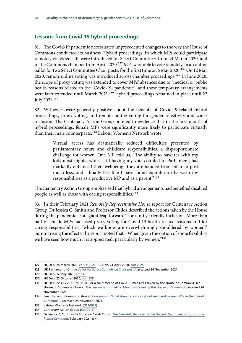#### <span id="page-29-0"></span>**Lessons from Covid-19 hybrid proceedings**

81. The Covid-19 pandemic necessitated unprecedented changes to the way the House of Commons conducted its business. Hybrid proceedings, in which MPs could participate remotely via video call, were introduced for Select Committees from 24 March 2020, and in the Commons chamber from April 2020.<sup>127</sup> MPs were able to vote remotely, in an online ballot for two Select Committee Chair posts, for the first time on 6 May 2020.<sup>128</sup> On 12 May 2020, remote online voting was introduced across chamber proceedings.<sup>129</sup> In June 2020, the scope of proxy voting was extended to cover MPs' absences due to "medical or public health reasons related to the [Covid-19] pandemic", and these temporary arrangements were later extended until March 2021.<sup>130</sup> Hybrid proceedings remained in place until 22 July 2021.131

82. Witnesses were generally positive about the benefits of Covid-19-related hybrid proceedings, proxy voting, and remote online voting for gender sensitivity and wider inclusion. The Centenary Action Group pointed to evidence that in the first month of hybrid proceedings, female MPs were significantly more likely to participate virtually than their male counterparts.<sup>132</sup> Labour Women's Network wrote:

> Virtual access has dramatically reduced difficulties presented by parliamentary hours and childcare responsibilities, a disproportionate challenge for women. One MP told us, "The ability to have tea with my kids most nights, whilst still having my vote counted in Parliament, has markedly enhanced their wellbeing. They are handed from pillar to post much less, and I finally feel like I have found equilibrium between my responsibilities as a productive MP and as a parent."133

The Centenary Action Group emphasised that hybrid arrangements had benefited disabled people as well as those with caring responsibilities.<sup>134</sup>

83. In their February 2021 *Remotely Representative House* report for Centenary Action Group, Dr Jessica C. Smith and Professor Childs described the actions taken by the House during the pandemic as a "giant leap forward" for family-friendly inclusion. More than half of female MPs had used proxy voting for Covid-19 health-related reasons and for caring responsibilities, "which we know are overwhelmingly shouldered by women." Summarising the effects, the report noted that, "When given the option of some flexibility we have seen how much it is appreciated, particularly by women."135

<sup>127</sup> HC Deb, 24 March 2020, cols 319–20; HC Deb, 21 April 2020, cols 2–24

<sup>128</sup> UK Parliament, '[Online ballot for Select Committee Chair posts'](https://www.parliament.uk/business/news/2020/may/online-ballot-for-select-committee-chair-posts/), accessed 24 November 2021

<sup>129</sup> HC Deb, 12 May 2020, col 148

<sup>130</sup> HC Deb, 22 October 2020, [col 1338](https://hansard.parliament.uk/commons/2020-10-22/debates/C20BB29A-820F-41FE-B5A6-D81479BFBAC3/BusinessWithoutDebate)

<sup>131</sup> HC Deb, 22 July 2021, [col 1150](https://hansard.parliament.uk/commons/2021-07-22/debates/2BB6F0EC-F654-4E51-AABA-D58720D90FAE/SpeakerSStatement). For a full timeline of Covid-19 measures taken by the House of Commons, see House of Commons Library, '[The coronavirus timeline: Measures taken by the House of Commons](https://commonslibrary.parliament.uk/house-of-commons-coronavirus-timeline/)', accessed 24 November 2021

<sup>132</sup> See, House of Commons Library, '[Coronavirus: What does data show about men and women MPs in the hybrid](https://commonslibrary.parliament.uk/men-and-women-mps-in-the-hybrid-commons/)  [Commons?'](https://commonslibrary.parliament.uk/men-and-women-mps-in-the-hybrid-commons/), accessed 24 November 2021

<sup>133</sup> Labour Women's Network [\(GSP0015\)](https://committees.parliament.uk/writtenevidence/25386/pdf/)

<sup>134</sup> Centenary Action Group [\(GSP0018](https://committees.parliament.uk/writtenevidence/25389/pdf/))

<sup>135</sup> Dr Jessica C. Smith with Professor Sarah Childs, *[The Remotely Representative House?: Lesson learning from the](https://static1.squarespace.com/static/5f6c6785a30f513e35cda046/t/60365ab34f274e4f5af59f3f/1614174901602/Remotely+Representative+House+Final160221.pdf)  [hybrid Commons](https://static1.squarespace.com/static/5f6c6785a30f513e35cda046/t/60365ab34f274e4f5af59f3f/1614174901602/Remotely+Representative+House+Final160221.pdf)*, February 2021, p 4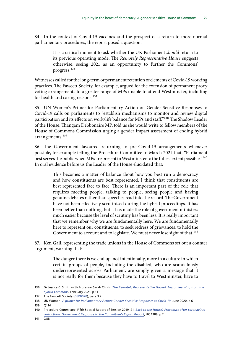84. In the context of Covid-19 vaccines and the prospect of a return to more normal parliamentary procedures, the report posed a question:

> It is a critical moment to ask whether the UK Parliament *should* return to its previous operating mode. The *Remotely Representative House* suggests otherwise, seeing 2021 as an opportunity to further the Commons' progress.136

Witnesses called for the long-term or permanent retention of elements of Covid-19 working practices. The Fawcett Society, for example, argued for the extension of permanent proxy voting arrangements to a greater range of MPs unable to attend Westminster, including for health and caring reasons.<sup>137</sup>

85. UN Women's Primer for Parliamentary Action on Gender Sensitive Responses to Covid-19 calls on parliaments to "establish mechanisms to monitor and review digital participation and its effects on work/life balance for MPs and staff."<sup>138</sup> The Shadow Leader of the House, Thangam Debbonaire MP, told us she would write to fellow members of the House of Commons Commission urging a gender impact assessment of ending hybrid arrangements.<sup>139</sup>

86. The Government favoured returning to pre-Covid-19 arrangements whenever possible, for example telling the Procedure Committee in March 2021 that, "Parliament best serves the public when MPs are present in Westminster to the fullest extent possible."140 In oral evidence before us the Leader of the House elucidated that:

> This becomes a matter of balance about how you best run a democracy and how constituents are best represented. I think that constituents are best represented face to face. There is an important part of the role that requires meeting people, talking to people, seeing people and having genuine debates rather than speeches read into the record. The Government have not been effectively scrutinised during the hybrid proceedings. It has been better than nothing, but it has made the role of government ministers much easier because the level of scrutiny has been less. It is really important that we remember why we are fundamentally here. We are fundamentally here to represent our constituents, to seek redress of grievances, to hold the Government to account and to legislate. We must never lose sight of that.<sup>141</sup>

87. Ken Gall, representing the trade unions in the House of Commons set out a counter argument, warning that:

> The danger there is we end up, not intentionally, more in a culture in which certain groups of people, including the disabled, who are scandalously underrepresented across Parliament, are simply given a message that it is not really for them because they have to travel to Westminster, have to

<sup>136</sup> Dr Jessica C. Smith with Professor Sarah Childs, *[The Remotely Representative House?: Lesson learning from the](https://static1.squarespace.com/static/5f6c6785a30f513e35cda046/t/60365ab34f274e4f5af59f3f/1614174901602/Remotely+Representative+House+Final160221.pdf)  [hybrid Commons](https://static1.squarespace.com/static/5f6c6785a30f513e35cda046/t/60365ab34f274e4f5af59f3f/1614174901602/Remotely+Representative+House+Final160221.pdf)*, February 2021, p 11

<sup>137</sup> The Fawcett Society [\(GSP0020](https://committees.parliament.uk/writtenevidence/25393/pdf/)), para 3.7

<sup>138</sup> UN Women, *[A primer for Parliamentary Action: Gender Sensitive Responses to Covid-19](https://www.unwomen.org/sites/default/files/Headquarters/Attachments/Sections/Library/Publications/2020/A-primer-for-parliamentary-action-Gender-sensitive-responses-to-COVID-19-en.pdf)*, June 2020, p 6

<sup>139</sup> Q114

<sup>140</sup> Procedure Committee, Fifth Special Report of Session 2019–21, *[Back to the future? Procedure after coronavirus](https://committees.parliament.uk/publications/5741/documents/56920/default/)  [restrictions: Government Response to the Committee's Eighth Report](https://committees.parliament.uk/publications/5741/documents/56920/default/)*, HC 1389, p 2

<sup>141</sup> Q88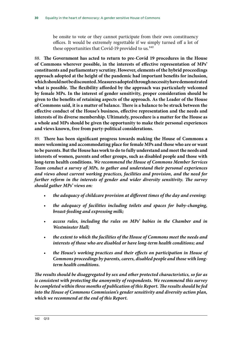be onsite to vote or they cannot participate from their own constituency offices. It would be extremely regrettable if we simply turned off a lot of these opportunities that Covid-19 provided to us.<sup>142</sup>

88. **The Government has acted to return to pre-Covid 19 procedures in the House of Commons wherever possible, in the interests of effective representation of MPs' constituents and parliamentary scrutiny. However, elements of the hybrid proceedings approach adopted at the height of the pandemic had important benefits for inclusion, which should not be discounted. Measures adopted through necessity have demonstrated what is possible. The flexibility afforded by the approach was particularly welcomed by female MPs. In the interest of gender sensitivity, proper consideration should be given to the benefits of retaining aspects of the approach. As the Leader of the House of Commons said, it is a matter of balance. There is a balance to be struck between the effective conduct of the House's business, effective representation and the needs and interests of its diverse membership. Ultimately, procedure is a matter for the House as a whole and MPs should be given the opportunity to make their personal experiences and views known, free from party-political considerations.**

89. **There has been significant progress towards making the House of Commons a more welcoming and accommodating place for female MPs and those who are or want to be parents. But the House has work to do to fully understand and meet the needs and interests of women, parents and other groups, such as disabled people and those with long-term health conditions.** *We recommend the House of Commons Member Services Team conduct a survey of MPs, to gather and understand their personal experiences and views about current working practices, facilities and provision, and the need for further reform in the interests of gender and wider diversity sensitivity. The survey should gather MPs' views on:*

- *the adequacy of childcare provision at different times of the day and evening;*
- *the adequacy of facilities including toilets and spaces for baby-changing, breast-feeding and expressing milk;*
- *access rules, including the rules on MPs' babies in the Chamber and in Westminster Hall;*
- *the extent to which the facilities of the House of Commons meet the needs and interests of those who are disabled or have long-term health conditions; and*
- *the House's working practices and their effects on participation in House of Commons proceedings by parents, carers, disabled people and those with longterm health conditions.*

*The results should be disaggregated by sex and other protected characteristics, so far as is consistent with protecting the anonymity of respondents. We recommend this survey be completed within three months of publication of this Report. The results should be fed into the House of Commons Commission's gender sensitivity and diversity action plan, which we recommend at the end of this Report.*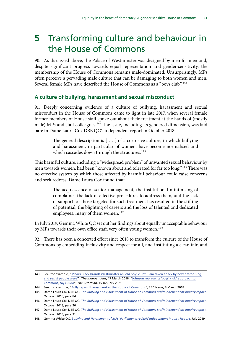## <span id="page-32-0"></span>**5** Transforming culture and behaviour in the House of Commons

90. As discussed above, the Palace of Westminster was designed by men for men and, despite significant progress towards equal representation and gender-sensitivity, the membership of the House of Commons remains male-dominated. Unsurprisingly, MPs often perceive a pervading male culture that can be damaging to both women and men. Several female MPs have described the House of Commons as a "boys club".<sup>143</sup>

#### **A culture of bullying, harassment and sexual misconduct**

91. Deeply concerning evidence of a culture of bullying, harassment and sexual misconduct in the House of Commons came to light in late 2017, when several female former members of House staff spoke out about their treatment at the hands of (mostly male) MPs and staff colleagues.<sup>144</sup> The issue, including its gendered dimension, was laid bare in Dame Laura Cox DBE QC's independent report in October 2018:

> The general description is [ … ] of a corrosive culture, in which bullying and harassment, in particular of women, have become normalised and which cascades down through the structures.<sup>145</sup>

This harmful culture, including a "widespread problem" of unwanted sexual behaviour by men towards women, had been "known about and tolerated for far too long."146 There was no effective system by which those affected by harmful behaviour could raise concerns and seek redress. Dame Laura Cox found that:

> The acquiescence of senior management, the institutional minimising of complaints, the lack of effective procedures to address them, and the lack of support for those targeted for such treatment has resulted in the stifling of potential, the blighting of careers and the loss of talented and dedicated employees, many of them women.<sup>147</sup>

In July 2019, Gemma White QC set out her findings about equally unacceptable behaviour by MPs towards their own office staff, very often young women.<sup>148</sup>

92. There has been a concerted effort since 2018 to transform the culture of the House of Commons by embedding inclusivity and respect for all, and instituting a clear, fair, and

<sup>143</sup> See, for example, "Mhairi Black brands Westminster an 'old boys club': 'I am taken aback by how patronising [and sexist people were'"](https://www.independent.co.uk/news/people/mhairi-black-brands-westminster-an-old-boys-club-i-am-taken-aback-by-how-patronising-and-sexist-people-were-a6936526.html), *The Independent*, 17 March 2016; ["Johnson represents 'boys' club' approach to](https://www.theguardian.com/politics/2021/jan/15/johnson-represents-boys-club-approach-to-commons-says-rudd)  [Commons, says Rudd](https://www.theguardian.com/politics/2021/jan/15/johnson-represents-boys-club-approach-to-commons-says-rudd)", *The Guardian*, 15 January 2021

<sup>144</sup> See, for example, "[Bullying and harassment at the House of Commons](https://www.bbc.co.uk/news/uk-43338305)", BBC News, 8 March 2018

<sup>145</sup> Dame Laura Cox DBE QC, *[The Bullying and Harassment of House of Commons Staff: independent inquiry report](https://www.parliament.uk/globalassets/documents/conduct-in-parliament/dame-laura-cox-independent-inquiry-report.pdf)*, October 2018, para 84

<sup>146</sup> Dame Laura Cox DBE QC, *[The Bullying and Harassment of House of Commons Staff: independent inquiry report](https://www.parliament.uk/globalassets/documents/conduct-in-parliament/dame-laura-cox-independent-inquiry-report.pdf)*, October 2018, para 30

<sup>147</sup> Dame Laura Cox DBE QC, *[The Bullying and Harassment of House of Commons Staff: independent inquiry report](https://www.parliament.uk/globalassets/documents/conduct-in-parliament/dame-laura-cox-independent-inquiry-report.pdf)*, October 2018, para 31

<sup>148</sup> Gemma White QC, *[Bullying and Harassment of MPs' Parliamentary Staff Independent Inquiry Report](https://www.parliament.uk/globalassets/documents/conduct-in-parliament/gwqc-inquiry-report-11-july-2019_.pdf)*, July 2019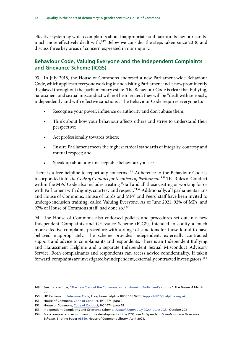<span id="page-33-0"></span>effective system by which complaints about inappropriate and harmful behaviour can be much more effectively dealt with.<sup>149</sup> Below we consider the steps taken since 2018, and discuss three key areas of concern expressed in our inquiry.

#### **Behaviour Code, Valuing Everyone and the Independent Complaints and Grievance Scheme (ICGS)**

93. In July 2018, the House of Commons endorsed a new Parliament-wide Behaviour Code, which applies to everyone working in and visiting Parliament and is now prominently displayed throughout the parliamentary estate. The Behaviour Code is clear that bullying, harassment and sexual misconduct will not be tolerated; they will be "dealt with seriously, independently and with effective sanctions". The Behaviour Code requires everyone to:

- Recognise your power, influence or authority and don't abuse them;
- Think about how your behaviour affects others and strive to understand their perspective;
- Act professionally towards others;
- Ensure Parliament meets the highest ethical standards of integrity, courtesy and mutual respect; and
- Speak up about any unacceptable behaviour you see.

There is a free helpline to report any concerns.<sup>150</sup> Adherence to the Behaviour Code is incorporated into *The Code of Conduct for Members of Parliament*.151 The Rules of Conduct within the MPs' Code also includes treating "staff and all those visiting or working for or with Parliament with dignity, courtesy and respect."<sup>152</sup> Additionally, all parliamentarians and House of Commons, House of Lords and MPs' and Peers' staff have been invited to undergo inclusion training, called Valuing Everyone. As of June 2021, 92% of MPs, and 97% of House of Commons staff, had done so.<sup>153</sup>

94. The House of Commons also endorsed policies and procedures set out in a new Independent Complaints and Grievance Scheme (ICGS), intended to codify a much more effective complaints procedure with a range of sanctions for those found to have behaved inappropriately. The scheme provides independent, externally contracted support and advice to complainants and respondents. There is an Independent Bullying and Harassment Helpline and a separate Independent Sexual Misconduct Advisory Service. Both complainants and respondents can access advice confidentiality. If taken forward, complaints are investigated by independent, externally contracted investigators.<sup>154</sup>

<sup>149</sup> See, for example, "[The new Clerk of the Commons on transforming Parliament's culture"](https://www.politicshome.com/thehouse/article/the-new-clerk-of-the-commons-on-transforming-parliaments-culture), *The House*, 4 March 2019

<sup>150</sup> UK Parliament, [Behaviour Code](https://www.parliament.uk/globalassets/documents/conduct-in-parliament/ukparliamentbehaviourcode.pdf); Freephone helpline 0808 168 9281, [Support@ICGShelpline.org.uk](mailto:Support@ICGShelpline.org.uk)

<sup>151</sup> House of Commons, [Code of Conduct,](https://publications.parliament.uk/pa/cm201719/cmcode/1474/1474.pdf) HC 1474, para 9

<sup>152</sup> House of Commons, [Code of Conduct,](https://publications.parliament.uk/pa/cm201719/cmcode/1474/1474.pdf) HC 1474, para 18

<sup>153</sup> Independent Complaints and Grievance Scheme, *[Annual Report July 2020 - June 2021](https://www.parliament.uk/globalassets/icgs-annual-report---july-2020--june-2021.pdf)*, October 2021

<sup>154</sup> For a comprehensive summary of the development of the ICGS, see *Independent Complaints and Grievance Scheme*, Briefing Paper [08369,](https://researchbriefings.files.parliament.uk/documents/CBP-8369/CBP-8369.pdf) House of Commons Library, April 2021.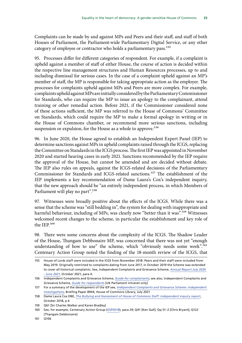Complaints can be made by and against MPs and Peers and their staff, and staff of both Houses of Parliament, the Parliament-wide Parliamentary Digital Service, or any other category of employee or contractor who holds a parliamentary pass.<sup>155</sup>

95. Processes differ for different categories of respondent. For example, if a complaint is upheld against a member of staff of either House, the course of action is decided within the respective line management structures and Human Resources processes, up to and including dismissal for serious cases. In the case of a complaint upheld against an MP's member of staff, the MP is responsible for taking appropriate action as the employer. The processes for complaints upheld against MPs and Peers are more complex. For example, complaints upheld against MPs are initially considered by the Parliamentary Commissioner for Standards, who can require the MP to issue an apology to the complainant, attend training or other remedial action. Before 2021, if the Commissioner considered none of these actions sufficient, the MP was referred to the House of Commons' Committee on Standards, which could require the MP to make a formal apology in writing or in the House of Commons chamber, or recommend more serious sanctions, including suspension or expulsion, for the House as a whole to approve.<sup>156</sup>

96. In June 2020, the House agreed to establish an Independent Expert Panel (IEP) to determine sanctions against MPs in upheld complaints raised through the ICGS, replacing the Committee on Standards in the ICGS process. The first IEP was appointed in November 2020 and started hearing cases in early 2021. Sanctions recommended by the IEP require the approval of the House, but cannot be amended and are decided without debate. The IEP also rules on appeals, against the ICGS-related decisions of the Parliamentary Commissioner for Standards and ICGS-related sanctions.157 The establishment of the IEP implements a key recommendation of Dame Laura's Cox's independent inquiry, that the new approach should be "an entirely independent process, in which Members of Parliament will play no part".<sup>158</sup>

97. Witnesses were broadly positive about the effects of the ICGS. While there was a sense that the scheme was "still bedding in", the system for dealing with inappropriate and harmful behaviour, including of MPs, was clearly now "better than it was".<sup>159</sup> Witnesses welcomed recent changes to the scheme, in particular the establishment and key role of the IEP.160

98. There were some concerns about the complexity of the ICGS. The Shadow Leader of the House, Thangam Debbonaire MP, was concerned that there was not yet "enough understanding of how to use" the scheme, which "obviously needs some work".<sup>161</sup> Centenary Action Group noted the finding of the 18-month review of the ICGS, that

156 Independent Complaints and Grievance Scheme, *[Guide for complainants](https://www.parliament.uk/contentassets/3df71b70e8e847f498932d63dede801a/icgs-bullying-user-guide_complainants_interactive-pdfs_update.pdf)*; see also, Independent Complaints and Grievance Scheme, *[Guide for respondents](https://intranet.parliament.uk/Documents/Cox%20inquiry%20hub/ICGS_Guide_for_Respondents_26_05_2020.pdf)* [UK Parliament intranet only]

<sup>155</sup> House of Lords staff were included in the ICGS from November 2018. Peers and their staff were included from May 2019. Originally restricted to complaints dating from June 2017, in October 2019 the Scheme was extended to cover all historical complaints. See, Independent Complaints and Grievance Scheme, *[Annual Report July 2020](https://www.parliament.uk/globalassets/icgs-annual-report---july-2020--june-2021.pdf)  [- June 2021](https://www.parliament.uk/globalassets/icgs-annual-report---july-2020--june-2021.pdf)*, October 2021, para 4.

<sup>157</sup> For a summary of the development of the IEP see, *[Independent Complaints and Grievance Scheme: independent](https://researchbriefings.files.parliament.uk/documents/CBP-8944/CBP-8944.pdf)  [investigations](https://researchbriefings.files.parliament.uk/documents/CBP-8944/CBP-8944.pdf)*, Briefing Paper 8944, House of Commons Library, July 2021

<sup>158</sup> Dame Laura Cox DBE, *[The Bullying and Harassment of House of Commons Staff: independent inquiry report](https://www.parliament.uk/globalassets/documents/conduct-in-parliament/dame-laura-cox-independent-inquiry-report.pdf)*, October 2018, p 6

<sup>159</sup> Q61 [Sir Charles Walker and Karen Bradley]

<sup>160</sup> See, for example, Centenary Action Group [\(GSP0018](https://committees.parliament.uk/writtenevidence/25389/pdf/)), para 29; Q41 [Ken Gall]; Qq 51–2 [Chris Bryant]; Q122 [Thangam Debbonaire]

<sup>161</sup> Q106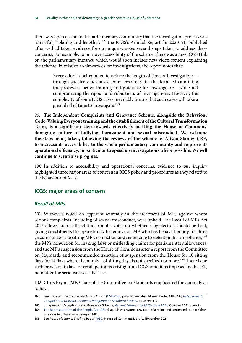<span id="page-35-0"></span>there was a perception in the parliamentary community that the investigation process was "stressful, isolating and lengthy".162 The ICGS's Annual Report for 2020–21, published after we had taken evidence for our inquiry, notes several steps taken to address these concerns. For example, to improve accessibility of the scheme, there was a new ICGS Hub on the parliamentary intranet, which would soon include new video content explaining the scheme. In relation to timescales for investigations, the report notes that:

> Every effort is being taken to reduce the length of time of investigations through greater efficiencies, extra resources in the team, streamlining the processes, better training and guidance for investigators—while not compromising the rigour and robustness of investigations. However, the complexity of some ICGS cases inevitably means that such cases will take a great deal of time to investigate.<sup>163</sup>

99. **The Independent Complaints and Grievance Scheme, alongside the Behaviour Code, Valuing Everyone training and the establishment of the Cultural Transformation Team, is a significant step towards effectively tackling the House of Commons' damaging culture of bullying, harassment and sexual misconduct. We welcome the steps being taken, following the reviews of the scheme by Alison Stanley CBE, to increase its accessibility to the whole parliamentary community and improve its operational efficiency, in particular to speed up investigations where possible. We will continue to scrutinise progress.**

100. In addition to accessibility and operational concerns, evidence to our inquiry highlighted three major areas of concern in ICGS policy and procedures as they related to the behaviour of MPs.

#### **ICGS: major areas of concern**

#### *Recall of MPs*

101. Witnesses noted an apparent anomaly in the treatment of MPs against whom serious complaints, including of sexual misconduct, were upheld. The Recall of MPs Act 2015 allows for recall petitions (public votes on whether a by-election should be held, giving constituents the opportunity to remove an MP who has behaved poorly) in three circumstances: the sitting MP's conviction and sentencing to detention for any offence;<sup>164</sup> the MP's conviction for making false or misleading claims for parliamentary allowances; and the MP's suspension from the House of Commons after a report from the Committee on Standards and recommended sanction of suspension from the House for 10 sitting days (or 14 days where the number of sitting days is not specified) or more.<sup>165</sup> There is no such provision in law for recall petitions arising from ICGS sanctions imposed by the IEP, no matter the seriousness of the case.

102. Chris Bryant MP, Chair of the Committee on Standards emphasised the anomaly as follows:

<sup>162</sup> See, for example, Centenary Action Group [\(GSP0018](https://committees.parliament.uk/writtenevidence/25389/pdf/)), para 30; see also, Alison Stanley CBE FCIP, *[Independent](https://www.parliament.uk/contentassets/e3ed0297d92a400bb249c887a30aa59b/icgs-18-month-review_final.pdf)  [Complaints & Grievance Scheme: Independent 18-Month Review](https://www.parliament.uk/contentassets/e3ed0297d92a400bb249c887a30aa59b/icgs-18-month-review_final.pdf)*, paras 94–119

<sup>163</sup> Independent Complaints and Grievance Scheme, *[Annual Report July 2020 - June 2021](https://www.parliament.uk/globalassets/icgs-annual-report---july-2020--june-2021.pdf)*, October 2021, para 71

<sup>164</sup> [The Representation of the People Act 1981](https://www.legislation.gov.uk/ukpga/1981/34) disqualifies anyone convicted of a crime and sentenced to more than one year in prison from being an MP.

<sup>165</sup> See *Recall elections*, Briefing Paper [5089,](https://researchbriefings.files.parliament.uk/documents/SN05089/SN05089.pdf) House of Commons Library, November 2021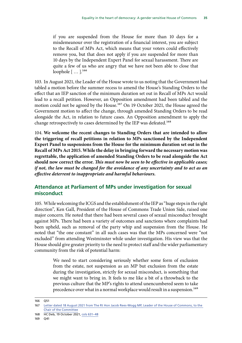<span id="page-36-0"></span>if you are suspended from the House for more than 10 days for a misdemeanour over the registration of a financial interest, you are subject to the Recall of MPs Act, which means that your voters could effectively remove you, but that does not apply if you are suspended for more than 10 days by the Independent Expert Panel for sexual harassment. There are quite a few of us who are angry that we have not been able to close that loophole  $[$  ...  $]$ <sup>166</sup>

103. In August 2021, the Leader of the House wrote to us noting that the Government had tabled a motion before the summer recess to amend the House's Standing Orders to the effect that an IEP sanction of the minimum duration set out in Recall of MPs Act would lead to a recall petition. However, an Opposition amendment had been tabled and the motion could not be agreed by the House.<sup>167</sup> On 19 October 2021, the House agreed the Government motion to affect the change, through amended Standing Orders to be read alongside the Act, in relation to future cases. An Opposition amendment to apply the change retrospectively to cases determined by the IEP was defeated.<sup>168</sup>

104. **We welcome the recent changes to Standing Orders that are intended to allow the triggering of recall petitions in relation to MPs sanctioned by the Independent Expert Panel to suspensions from the House for the minimum duration set out in the Recall of MPs Act 2015. While the delay in bringing forward the necessary motion was regrettable, the application of amended Standing Orders to be read alongside the Act should now correct the error.** *This must now be seen to be effective in applicable cases; if not, the law must be changed for the avoidance of any uncertainty and to act as an effective deterrent to inappropriate and harmful behaviours.*

#### **Attendance at Parliament of MPs under investigation for sexual misconduct**

105. While welcoming the ICGS and the establishment of the IEP as "huge steps in the right direction", Ken Gall, President of the House of Commons Trade Union Side, raised one major concern. He noted that there had been several cases of sexual misconduct brought against MPs. There had been a variety of outcomes and sanctions where complaints had been upheld, such as removal of the party whip and suspension from the House. He noted that "the one constant" in all such cases was that the MPs concerned were "not excluded" from attending Westminster while under investigation. His view was that the House should give greater priority to the need to protect staff and the wider parliamentary community from the risk of potential harm:

> We need to start considering seriously whether some form of exclusion from the estate, not suspension as an MP but exclusion from the estate during the investigation, strictly for sexual misconduct, is something that we might want to bring in. It feels to me like a bit of a throwback to the previous culture that the MP's rights to attend unencumbered seem to take precedence over what in a normal workplace would result in a suspension.<sup>169</sup>

<sup>166</sup> Q51

<sup>167</sup> [Letter dated 18 August 2021 from The Rt Hon Jacob Rees-Mogg MP, Leader of the House of Commons, to the](https://committees.parliament.uk/publications/7201/documents/75800/default/)  [Chair of the Committee](https://committees.parliament.uk/publications/7201/documents/75800/default/)

<sup>168</sup> HC Deb, 19 October 2021, [cols 631–48](https://hansard.parliament.uk/commons/2021-10-19/debates/96D9B04A-5361-49A4-B22B-3A1814442036/IndependentExpertPanelRecommendationsForSanctionsAndTheRecallOfMpsAct2015)

<sup>169</sup> Q41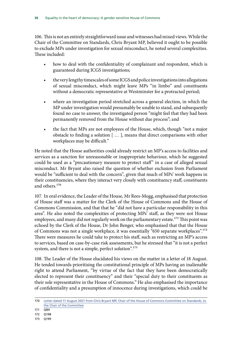106. This is not an entirely straightforward issue and witnesses had mixed views. While the Chair of the Committee on Standards, Chris Bryant MP, believed it ought to be possible to exclude MPs under investigation for sexual misconduct, he noted several complexities. These included:

- how to deal with the confidentiality of complainant and respondent, which is guaranteed during ICGS investigations;
- the very lengthy timescales of some ICGS and police investigations into allegations of sexual misconduct, which might leave MPs "in limbo" and constituents without a democratic representative at Westminster for a protracted period;
- where an investigation period stretched across a general election, in which the MP under investigation would presumably be unable to stand, and subsequently found no case to answer, the investigated person "might feel that they had been permanently removed from the House without due process"; and
- the fact that MPs are not employees of the House, which, though "not a major obstacle to finding a solution [ … ], means that direct comparisons with other workplaces may be difficult."

He noted that the House authorities could already restrict an MP's access to facilities and services as a sanction for unreasonable or inappropriate behaviour, which he suggested could be used as a "precautionary measure to protect staff" in a case of alleged sexual misconduct. Mr Bryant also raised the question of whether exclusion from Parliament would be "sufficient to deal with the concern", given that much of MPs' work happens in their constituencies, where they interact very closely with constituency staff, constituents and others.<sup>170</sup>

107. In oral evidence, the Leader of the House, Mr Rees-Mogg, emphasised that protection of House staff was a matter for the Clerk of the House of Commons and the House of Commons Commission, and that that he "did not have a particular responsibility in this area". He also noted the complexities of protecting MPs' staff, as they were not House employees, and many did not regularly work on the parliamentary estate.<sup>171</sup> This point was echoed by the Clerk of the House, Dr John Benger, who emphasised that that the House of Commons was not a single workplace, it was essentially "650 separate workplaces".172 There were measures he could take to protect his staff, such as restricting an MP's access to services, based on case-by-case risk assessments, but he stressed that "it is not a perfect system, and there is not a simple, perfect solution".<sup>173</sup>

108. The Leader of the House elucidated his views on the matter in a letter of 18 August. He tended towards prioritising the constitutional principle of MPs having an inalienable right to attend Parliament, "by virtue of the fact that they have been democratically elected to represent their constituency" and their "special duty to their constituents as their sole representative in the House of Commons." He also emphasised the importance of confidentiality and a presumption of innocence during investigations, which could be

<sup>170</sup> [Letter dated 11 August 2021 from Chris Bryant MP, Chair of the House of Commons Committee on Standards, to](https://committees.parliament.uk/publications/7200/documents/75799/default/)  [the Chair of the Committee](https://committees.parliament.uk/publications/7200/documents/75799/default/)

<sup>171</sup> Q84

<sup>172</sup> Q198

<sup>173</sup> Q199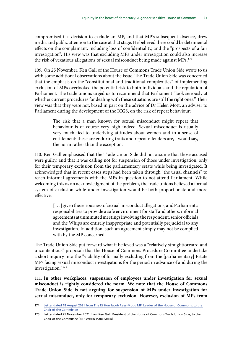compromised if a decision to exclude an MP, and that MP's subsequent absence, drew media and public attention to the case at that stage. He believed there could be detrimental effects on the complainant, including loss of confidentiality, and the "prospects of a fair investigation". His view was that excluding MPs under investigation could also increase the risk of vexatious allegations of sexual misconduct being made against MPs.<sup>174</sup>

109. On 25 November, Ken Gall of the House of Commons Trade Union Side wrote to us with some additional observations about the issue. The Trade Union Side was concerned that the emphasis on the "constitutional and traditional complexities" of implementing exclusion of MPs overlooked the potential risk to both individuals and the reputation of Parliament. The trade unions urged us to recommend that Parliament "look seriously at whether current procedures for dealing with these situations are still the right ones." Their view was that they were not, based in part on the advice of Dr Helen Mott, an adviser to Parliament during the development of the ICGS, on the risk of repeat behaviour:

> The risk that a man known for sexual misconduct might repeat that behaviour is of course very high indeed. Sexual misconduct is usually very much tied to underlying attitudes about women and to a sense of entitlement: these are enduring traits and repeat offenders are, I would say, the norm rather than the exception.

110. Ken Gall emphasised that the Trade Union Side did not assume that those accused were guilty, and that it was calling not for suspension of those under investigation, only for their temporary exclusion from the parliamentary estate while being investigated. It acknowledged that in recent cases steps had been taken through "the usual channels" to reach informal agreements with the MPs in question to not attend Parliament. While welcoming this as an acknowledgment of the problem, the trade unions believed a formal system of exclusion while under investigation would be both proportionate and more effective:

> [ … ] given the seriousness of sexual misconduct allegations, and Parliament's responsibilities to provide a safe environment for staff and others, informal agreements at unminuted meetings involving the respondent, senior officials and the Whips are entirely inappropriate and potentially prejudicial to any investigation. In addition, such an agreement simply may not be complied with by the MP concerned.

The Trade Union Side put forward what it believed was a "relatively straightforward and uncontentious" proposal: that the House of Commons Procedure Committee undertake a short inquiry into the "viability of formally excluding from the [parliamentary] Estate MPs facing sexual misconduct investigations for the period in advance of and during the investigation."175

111. **In other workplaces, suspension of employees under investigation for sexual misconduct is rightly considered the norm. We note that the House of Commons Trade Union Side is not arguing for suspension of MPs under investigation for sexual misconduct, only for temporary exclusion. However, exclusion of MPs from** 

<sup>174</sup> [Letter dated 18 August 2021 from The Rt Hon Jacob Rees-Mogg MP, Leader of the House of Commons, to the](https://committees.parliament.uk/publications/7201/documents/75800/default/)  [Chair of the Committee](https://committees.parliament.uk/publications/7201/documents/75800/default/)

<sup>175</sup> Letter dated 25 November 2021 from Ken Gall, President of the House of Commons Trade Union Side, to the Chair of the Committee [REF WHEN PUBLISHED]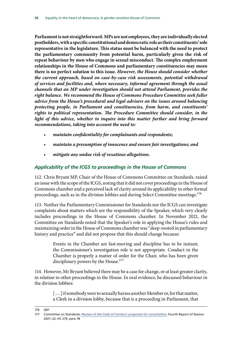<span id="page-39-0"></span>**Parliament is not straightforward. MPs are not employees, they are individually elected postholders, with a specific constitutional and democratic role as their constituents' sole representative in the legislature. This status must be balanced with the need to protect the parliamentary community from potential harm, particularly given the risk of repeat behaviour by men who engage in sexual misconduct. The complex employment relationships in the House of Commons and parliamentary constituencies may mean there is no perfect solution to this issue.** *However, the House should consider whether the current approach, based on case-by-case risk assessments, potential withdrawal of services and facilities and, where necessary, informal agreement through the usual channels that an MP under investigation should not attend Parliament, provides the right balance. We recommend the House of Commons Procedure Committee seek fuller advice from the House's procedural and legal advisers on the issues around balancing protecting people, in Parliament and constituencies, from harm, and constituents' rights to political representation. The Procedure Committee should consider, in the*  light of this advice, whether to inquire into this matter further and bring forward *recommendations, taking into account the need to:*

- *maintain confidentiality for complainants and respondents;*
- *maintain a presumption of innocence and ensure fair investigations; and*
- *mitigate any undue risk of vexatious allegations.*

#### *Applicability of the ICGS to proceedings in the House of Commons*

112. Chris Bryant MP, Chair of the House of Commons Committee on Standards, raised an issue with the scope of the ICGS, noting that it did not cover proceedings in the House of Commons chamber and a perceived lack of clarity around its applicability in other formal proceedings, such as in the division lobbies and during Select Committee meetings.<sup>176</sup>

113. Neither the Parliamentary Commissioner for Standards nor the ICGS can investigate complaints about matters which are the responsibility of the Speaker, which very clearly includes proceedings in the House of Commons chamber. In November 2021, the Committee on Standards noted that the Speaker's role in applying the House's rules and maintaining order in the House of Commons chamber was "deep-rooted in parliamentary history and practice" and did not propose that this should change because:

> Events in the Chamber are fast-moving and discipline has to be instant; the Commissioner's investigation role is not appropriate. Conduct in the Chamber is properly a matter of order for the Chair, who has been given disciplinary powers by the House.<sup>177</sup>

114. However, Mr Bryant believed there may be a case for change, or at least greater clarity, in relation to other proceedings in the House. In oral evidence, he discussed behaviour in the division lobbies:

> [...] if somebody were to sexually harass another Member or, for that matter, a Clerk in a division lobby, because that is a proceeding in Parliament, that

<sup>176</sup> Q61

<sup>177</sup> Committee on Standards, *[Review of the Code of Conduct: proposals for consultation](https://committees.parliament.uk/publications/7999/documents/82638/default/)*, Fourth Report of Session 2021–22, HC 270, para 78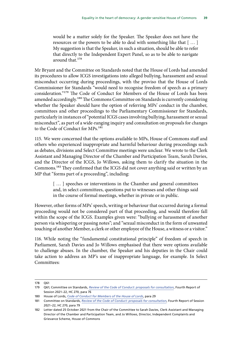would be a matter solely for the Speaker. The Speaker does not have the resources or the powers to be able to deal with something like that [ … ] My suggestion is that the Speaker, in such a situation, should be able to refer that directly to the Independent Expert Panel, so as to be able to navigate around that.<sup>178</sup>

Mr Bryant and the Committee on Standards noted that the House of Lords had amended its procedures to allow ICGS investigations into alleged bullying, harassment and sexual misconduct occurring during proceedings, with the proviso that the House of Lords Commissioner for Standards "would need to recognise freedom of speech as a primary consideration."179 The Code of Conduct for Members of the House of Lords has been amended accordingly.<sup>180</sup> The Commons Committee on Standards is currently considering whether the Speaker should have the option of referring MPs' conduct in the chamber, committees and other proceedings to the Parliamentary Commissioner for Standards, particularly in instances of "potential ICGS cases involving bullying, harassment or sexual misconduct", as part of a wide-ranging inquiry and consultation on proposals for changes to the Code of Conduct for MPs.<sup>181</sup>

115. We were concerned that the options available to MPs, House of Commons staff and others who experienced inappropriate and harmful behaviour during proceedings such as debates, divisions and Select Committee meetings were unclear. We wrote to the Clerk Assistant and Managing Director of the Chamber and Participation Team, Sarah Davies, and the Director of the ICGS, Jo Willows, asking them to clarify the situation in the Commons.182 They confirmed that the ICGS did not cover anything said or written by an MP that "forms part of a proceeding", including:

> [...] speeches or interventions in the Chamber and general committees and, in select committees, questions put to witnesses and other things said in the course of formal meetings, whether in private or in public.

However, other forms of MPs' speech, writing or behaviour that occurred during a formal proceeding would not be considered part of that proceeding, and would therefore fall within the scope of the ICGS. Examples given were: "bullying or harassment of another person via whispering or passing notes"; and "sexual misconduct in the form of unwanted touching of another Member, a clerk or other employee of the House, a witness or a visitor."

116. While noting the "fundamental constitutional principle" of freedom of speech in Parliament, Sarah Davies and Jo Willows emphasised that there were options available to challenge abuses. In the chamber, the Speaker and his deputies in the Chair could take action to address an MP's use of inappropriate language, for example. In Select Committees:

<sup>178</sup> Q61

<sup>179</sup> Q61; Committee on Standards, *[Review of the Code of Conduct: proposals for consultation](https://committees.parliament.uk/publications/7999/documents/82638/default/)*, Fourth Report of Session 2021–22, HC 270, para 76

<sup>180</sup> House of Lords, *[Code of Conduct for Members of the House of Lords](https://www.parliament.uk/globalassets/documents/lords-commissioner-for-standards/hl-code-of-conduct.pdf)*, para 29

<sup>181</sup> Committee on Standards, *[Review of the Code of Conduct: proposals for consultation](https://committees.parliament.uk/publications/7999/documents/82638/default/)*, Fourth Report of Session 2021–22, HC 270, para 79

<sup>182</sup> Letter dated 25 October 2021 from the Chair of the Committee to Sarah Davies, Clerk Assistant and Managing Director of the Chamber and Participation Team, and Jo Willows, Director, Independent Complaints and Grievance Scheme, House of Commons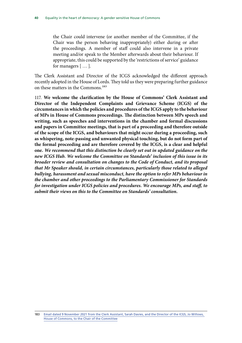the Chair could intervene (or another member of the Committee, if the Chair was the person behaving inappropriately) either during or after the proceedings. A member of staff could also intervene in a private meeting and/or speak to the Member afterwards about their behaviour. If appropriate, this could be supported by the 'restrictions of service' guidance for managers [ … ].

The Clerk Assistant and Director of the ICGS acknowledged the different approach recently adopted in the House of Lords. They told us they were preparing further guidance on these matters in the Commons.<sup>183</sup>

117. **We welcome the clarification by the House of Commons' Clerk Assistant and Director of the Independent Complaints and Grievance Scheme (ICGS) of the circumstances in which the policies and procedures of the ICGS apply to the behaviour of MPs in House of Commons proceedings. The distinction between MPs speech and writing, such as speeches and interventions in the chamber and formal discussions and papers in Committee meetings, that is part of a proceeding and therefore outside of the scope of the ICGS, and behaviours that might occur during a proceeding, such as whispering, note-passing and unwanted physical touching, but do not form part of the formal proceeding and are therefore covered by the ICGS, is a clear and helpful one.** *We recommend that this distinction be clearly set out in updated guidance on the new ICGS Hub. We welcome the Committee on Standards' inclusion of this issue in its broader review and consultation on changes to the Code of Conduct, and its proposal that Mr Speaker should, in certain circumstances, particularly those related to alleged bullying, harassment and sexual misconduct, have the option to refer MPs behaviour in the chamber and other proceedings to the Parliamentary Commissioner for Standards for investigation under ICGS policies and procedures. We encourage MPs, and staff, to submit their views on this to the Committee on Standards' consultation.*

<sup>183</sup> [Email dated 9 November 2021 from the Clerk Assistant, Sarah Davies, and the Director of the ICGS, Jo Willows,](https://committees.parliament.uk/publications/7869/documents/81742/default/)  [House of Commons, to the Chair of the Committee](https://committees.parliament.uk/publications/7869/documents/81742/default/)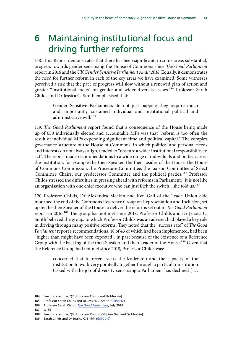## <span id="page-42-0"></span>**6** Maintaining institutional focus and driving further reforms

118. This Report demonstrates that there has been significant, in some areas substantial, progress towards gender sensitising the House of Commons since *The Good Parliament* report in 2016 and the *UK Gender Sensitive Parliament Audit 2018*. Equally, it demonstrates the need for further reform in each of the key areas we have examined. Some witnesses perceived a risk that the pace of progress will slow without a renewed plan of action and greater "institutional focus" on gender and wider diversity issues.<sup>184</sup> Professor Sarah Childs and Dr Jessica C. Smith emphasised that:

> Gender Sensitive Parliaments do not just happen: they require much and, importantly, sustained individual and institutional political and administrative will.<sup>185</sup>

119. *The Good Parliament* report found that a consequence of the House being made up of 650 individually elected and accountable MPs was that "reform is too often the result of individual MPs expending significant time and political capital." The complex governance structure of the House of Commons, in which political and personal needs and interests do not always align, tended to "obscure a wider institutional responsibility to act". The report made recommendations to a wide range of individuals and bodies across the institution, for example the then Speaker, the then Leader of the House, the House of Commons Commission, the Procedure Committee, the Liaison Committee of Select Committee Chairs, our predecessor Committee and the political parties.<sup>186</sup> Professor Childs stressed the difficulties in pressing ahead with reforms in Parliament: "it is not like an organisation with one chief executive who can just flick the switch", she told us.<sup>187</sup>

120. Professor Childs, Dr Alexandra Meakin and Ken Gall of the Trade Union Side mourned the end of the Commons Reference Group on Representation and Inclusion, set up by the then Speaker of the House to deliver the reforms set out in *The Good Parliament* report in 2016.188 The group has not met since 2018. Professor Childs and Dr Jessica C. Smith believed the group, to which Professor Childs was an adviser, had played a key role in driving through many positive reforms. They noted that the "success rate" of *The Good Parliament* report's recommendations, 18 of 43 of which had been implemented, had been "higher than might have been expected", in part because of the existence of a Reference Group with the backing of the then Speaker and then Leader of the House.<sup>189</sup> Given that the Reference Group had not met since 2018, Professor Childs was:

> concerned that in recent years the leadership and the capacity of the institution to work very pointedly together through a particular institution tasked with the job of diversity sensitising a Parliament has declined [ …

<sup>184</sup> See, for example, Q2 [Professor Childs and Dr Meakin]

<sup>185</sup> Professor Sarah Childs and Dr Jessica C. Smith [\(GSP0012\)](https://committees.parliament.uk/writtenevidence/25329/pdf/)

<sup>186</sup> Professor Sarah Childs, *[The Good Parliament](https://www.bristol.ac.uk/media-library/sites/news/2016/july/20%20Jul%20Prof%20Sarah%20Childs%20The%20Good%20Parliament%20report.pdf)*, July 2016

<sup>187</sup> Q135

<sup>188</sup> See, for example, Q3 [Professor Childs]; Q4 [Ken Gall and Dr Meakin]

<sup>189</sup> Sarah Childs and Dr Jessica C. Smith ([GSP0012](https://committees.parliament.uk/writtenevidence/25329/pdf/))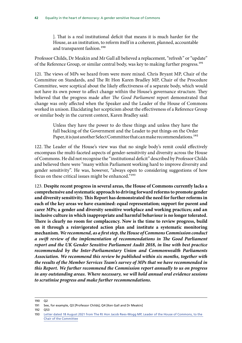]. That is a real institutional deficit that means it is much harder for the House, as an institution, to reform itself in a coherent, planned, accountable and transparent fashion.<sup>190</sup>

Professor Childs, Dr Meakin and Mr Gall all believed a replacement, "refresh" or "update" of the Reference Group, or similar central body, was key to making further progress.<sup>191</sup>

121. The views of MPs we heard from were more mixed. Chris Bryant MP, Chair of the Committee on Standards, and The Rt Hon Karen Bradley MP, Chair of the Procedure Committee, were sceptical about the likely effectiveness of a separate body, which would not have its own power to affect change within the House's governance structure. They believed that the progress made after *The Good Parliament* report demonstrated that change was only affected when the Speaker and the Leader of the House of Commons worked in unison. Elucidating her scepticism about the effectiveness of a Reference Group or similar body in the current context, Karen Bradley said:

> Unless they have the power to do these things and unless they have the full backing of the Government and the Leader to put things on the Order Paper, it is just another Select Committee that can make recommendations.<sup>192</sup>

122. The Leader of the House's view was that no single body's remit could effectively encompass the multi-faceted aspects of gender-sensitivity and diversity across the House of Commons. He did not recognise the "institutional deficit" described by Professor Childs and believed there were "many within Parliament working hard to improve diversity and gender sensitivity". He was, however, "always open to considering suggestions of how focus on these critical issues might be enhanced."193

123. **Despite recent progress in several areas, the House of Commons currently lacks a comprehensive and systematic approach to driving forward reforms to promote gender and diversity sensitivity. This Report has demonstrated the need for further reforms in each of the key areas we have examined: equal representation; support for parent and carer MPs; a gender and diversity sensitive workplace and working practices; and an inclusive culture in which inappropriate and harmful behaviour is no longer tolerated. There is clearly no room for complacency. Now is the time to review progress, build on it through a reinvigorated action plan and institute a systematic monitoring mechanism.** *We recommend, as a first step, the House of Commons Commission conduct a swift review of the implementation of recommendations in The Good Parliament report and the UK Gender Sensitive Parliament Audit 2018, in line with best practice recommended by the Inter-Parliamentary Union and Commonwealth Parliaments Association. We recommend this review be published within six months, together with the results of the Member Services Team's survey of MPs that we have recommended in this Report. We further recommend the Commission report annually to us on progress in any outstanding areas. Where necessary, we will hold annual oral evidence sessions to scrutinise progress and make further recommendations.*

<sup>190</sup> Q2

<sup>191</sup> See, for example, Q3 [Professor Childs]; Q4 [Ken Gall and Dr Meakin]

<sup>192</sup> Q53

<sup>193</sup> [Letter dated 18 August 2021 from The Rt Hon Jacob Rees-Mogg MP, Leader of the House of Commons, to the](https://committees.parliament.uk/publications/7201/documents/75800/default/)  [Chair of the Committee](https://committees.parliament.uk/publications/7201/documents/75800/default/)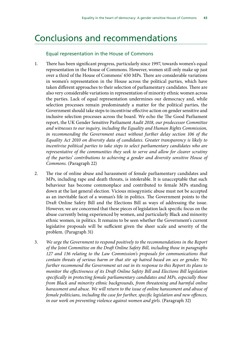### <span id="page-44-0"></span>Conclusions and recommendations

#### Equal representation in the House of Commons

- 1. There has been significant progress, particularly since 1997, towards women's equal representation in the House of Commons. However, women still only make up just over a third of the House of Commons' 650 MPs. There are considerable variations in women's representation in the House across the political parties, which have taken different approaches to their selection of parliamentary candidates. There are also very considerable variations in representation of minority ethnic women across the parties. Lack of equal representation undermines our democracy and, while selection processes remain predominately a matter for the political parties, the Government should take steps to incentivise effective action on gender sensitive and inclusive selection processes across the board. We echo the The Good Parliament report, the UK Gender Sensitive Parliament *Audit 2018, our predecessor Committee and witnesses to our inquiry, including the Equality and Human Rights Commission,*  in recommending the Government enact without further delay section 106 of the *Equality Act 2010 on diversity data of candidates. Greater transparency is likely to incentivise political parties to take steps to select parliamentary candidates who are representative of the communities they seek to serve and allow for clearer scrutiny of the parties' contributions to achieving a gender and diversity sensitive House of Commons.* (Paragraph 22)
- 2. The rise of online abuse and harassment of female parliamentary candidates and MPs, including rape and death threats, is intolerable. It is unacceptable that such behaviour has become commonplace and contributed to female MPs standing down at the last general election. Vicious misogynistic abuse must not be accepted as an inevitable facet of a woman's life in politics. The Government points to the Draft Online Safety Bill and the Elections Bill as ways of addressing the issue. However, we are concerned that these pieces of legislation lack specific focus on the abuse currently being experienced by women, and particularly Black and minority ethnic women, in politics. It remains to be seen whether the Government's current legislative proposals will be sufficient given the sheer scale and severity of the problem. (Paragraph 31)
- 3. *We urge the Government to respond positively to the recommendations in the Report of the Joint Committee on the Draft Online Safety Bill, including those in paragraphs 127 and 136 relating to the Law Commission's proposals for communications that contain threats of serious harm or that stir up hatred based on sex or gender. We further recommend the Government set out in its response to this Report its plans to monitor the effectiveness of its Draft Online Safety Bill and Elections Bill legislation specifically in protecting female parliamentary candidates and MPs, especially those from Black and minority ethnic backgrounds, from threatening and harmful online harassment and abuse. We will return to the issue of online harassment and abuse of female politicians, including the case for further, specific legislation and new offences, in our work on preventing violence against women and girls.* (Paragraph 32)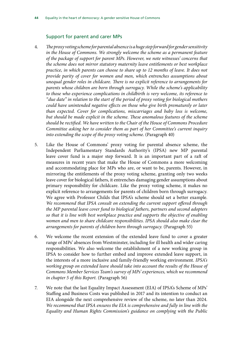#### Support for parent and carer MPs

- 4. *The proxy voting scheme for parental absence is a huge step forward for gender sensitivity*  in the House of Commons. We strongly welcome the scheme as a permanent feature *of the package of support for parent MPs. However, we note witnesses' concerns that the scheme does not mirror statutory maternity leave entitlements or best workplace practice, in which parents can choose to share up to 12 months of leave. It does not provide parity of cover for women and men, which entrenches assumptions about unequal gender roles in childcare. There is no explicit reference to arrangements for parents whose children are born through surrogacy. While the scheme's applicability to those who experience complications in childbirth is very welcome, its reference to "due date" in relation to the start of the period of proxy voting for biological mothers could have unintended negative effects on those who give birth prematurely or later than expected. Cover for complications, miscarriages and baby loss is welcome, but should be made explicit in the scheme. These anomalous features of the scheme should be rectified. We have written to the Chair of the House of Commons Procedure Committee asking her to consider them as part of her Committee's current inquiry into extending the scope of the proxy voting scheme*. (Paragraph 40)
- 5. Like the House of Commons' proxy voting for parental absence scheme, the Independent Parliamentary Standards Authority's (IPSA) new MP parental leave cover fund is a major step forward. It is an important part of a raft of measures in recent years that make the House of Commons a more welcoming and accommodating place for MPs who are, or want to be, parents. However, in mirroring the entitlements of the proxy voting scheme, granting only two weeks leave cover for biological fathers, it entrenches damaging gender assumptions about primary responsibility for childcare. Like the proxy voting scheme, it makes no explicit reference to arrangements for parents of children born through surrogacy. We agree with Professor Childs that IPSA's scheme should set a better example. *We recommend that IPSA consult on extending the current support offered through the MP parental leave cover fund to biological fathers, partners and second adopters so that it is line with best workplace practice and supports the objective of enabling women and men to share childcare responsibilities. IPSA should also make clear the arrangements for parents of children born through surrogacy.* (Paragraph 55)
- 6. We welcome the recent extension of the extended leave fund to cover a greater range of MPs' absences from Westminster, including for ill health and wider caring responsibilities. We also welcome the establishment of a new working group in IPSA to consider how to further embed and improve extended leave support, in the interests of a more inclusive and family-friendly working environment. *IPSA's working group on extended leave should take into account the results of the House of Commons Member Services Team's survey of MPs' experiences, which we recommend in chapter 5 of this Report.* (Paragraph 56)
- 7. We note that the last Equality Impact Assessment (EIA) of IPSA's Scheme of MPs' Staffing and Business Costs was published in 2017 and its intention to conduct an EIA alongside the next comprehensive review of the scheme, no later than 2024. *We recommend that IPSA ensures the EIA is comprehensive and fully in line with the Equality and Human Rights Commission's guidance on complying with the Public*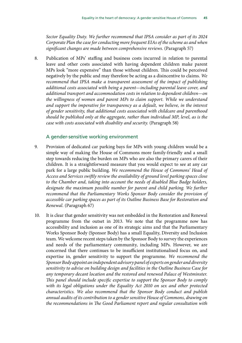*Sector Equality Duty. We further recommend that IPSA consider as part of its 2024 Corporate Plan the case for conducting more frequent EIAs of the scheme as and when significant changes are made between comprehensive reviews.* (Paragraph 57)

8. Publication of MPs' staffing and business costs incurred in relation to parental leave and other costs associated with having dependent children make parent MPs look "more expensive" than those without children. This could be perceived negatively by the public and may therefore be acting as a disincentive to claims. *We recommend that IPSA make a transparent assessment of the impact of publishing additional costs associated with being a parent—including parental leave cover, and additional transport and accommodation costs in relation to dependent children—on the willingness of women and parent MPs to claim support. While we understand and support the imperative for transparency as a default, we believe, in the interest of gender sensitivity, that additional costs associated with childcare and parenthood should be published only at the aggregate, rather than individual MP, level, as is the case with costs associated with disability and security.* (Paragraph 58)

#### A gender-sensitive working environment

- 9. Provision of dedicated car parking bays for MPs with young children would be a simple way of making the House of Commons more family-friendly and a small step towards reducing the burden on MPs who are also the primary carers of their children. It is a straightforward measure that you would expect to see at any car park for a large public building. *We recommend the House of Commons' Head of Access and Services swiftly review the availability of ground level parking spaces close to the Chamber and, taking into account the needs of disabled Blue Badge holders, designate the maximum possible number for parent and child parking. We further recommend that the Parliamentary Works Sponsor Body consider the provision of accessible car parking spaces as part of its Outline Business Base for Restoration and Renewal.* (Paragraph 67)
- 10. It is clear that gender sensitivity was not embedded in the Restoration and Renewal programme from the outset in 2013. We note that the programme now has accessibility and inclusion as one of its strategic aims and that the Parliamentary Works Sponsor Body (Sponsor Body) has a small Equality, Diversity and Inclusion team. We welcome recent steps taken by the Sponsor Body to survey the experiences and needs of the parliamentary community, including MPs. However, we are concerned that there continues to be insufficient institutionalised focus on, and expertise in, gender sensitivity to support the programme. *We recommend the Sponsor Body appoint an independent advisory panel of experts on gender and diversity sensitivity to advise on building design and facilities in the Outline Business Case for any temporary decant location and the restored and renewed Palace of Westminster. This panel should include specific expertise to support the Sponsor Body to comply with its legal obligations under the Equality Act 2010 on sex and other protected characteristics. We also recommend that the Sponsor Body conduct and publish annual audits of its contribution to a gender sensitive House of Commons, drawing on the recommendations in The Good Parliament report and regular consultation with*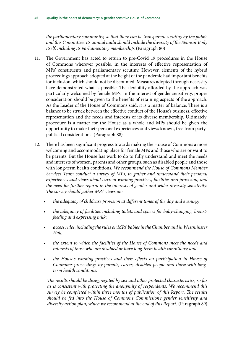*the parliamentary community, so that there can be transparent scrutiny by the public and this Committee. Its annual audit should include the diversity of the Sponsor Body itself, including its parliamentary membership.* (Paragraph 80)

- 11. The Government has acted to return to pre-Covid 19 procedures in the House of Commons wherever possible, in the interests of effective representation of MPs' constituents and parliamentary scrutiny. However, elements of the hybrid proceedings approach adopted at the height of the pandemic had important benefits for inclusion, which should not be discounted. Measures adopted through necessity have demonstrated what is possible. The flexibility afforded by the approach was particularly welcomed by female MPs. In the interest of gender sensitivity, proper consideration should be given to the benefits of retaining aspects of the approach. As the Leader of the House of Commons said, it is a matter of balance. There is a balance to be struck between the effective conduct of the House's business, effective representation and the needs and interests of its diverse membership. Ultimately, procedure is a matter for the House as a whole and MPs should be given the opportunity to make their personal experiences and views known, free from partypolitical considerations. (Paragraph 88)
- 12. There has been significant progress towards making the House of Commons a more welcoming and accommodating place for female MPs and those who are or want to be parents. But the House has work to do to fully understand and meet the needs and interests of women, parents and other groups, such as disabled people and those with long-term health conditions. *We recommend the House of Commons Member Services Team conduct a survey of MPs, to gather and understand their personal experiences and views about current working practices, facilities and provision, and the need for further reform in the interests of gender and wider diversity sensitivity. The survey should gather MPs' views on:*
	- *the adequacy of childcare provision at different times of the day and evening;*
	- *the adequacy of facilities including toilets and spaces for baby-changing, breastfeeding and expressing milk;*
	- *access rules, including the rules on MPs' babies in the Chamber and in Westminster Hall;*
	- *the extent to which the facilities of the House of Commons meet the needs and interests of those who are disabled or have long-term health conditions; and*
	- *the House's working practices and their effects on participation in House of Commons proceedings by parents, carers, disabled people and those with longterm health conditions.*

*The results should be disaggregated by sex and other protected characteristics, so far as is consistent with protecting the anonymity of respondents. We recommend this survey be completed within three months of publication of this Report. The results should be fed into the House of Commons Commission's gender sensitivity and diversity action plan, which we recommend at the end of this Report.* (Paragraph 89)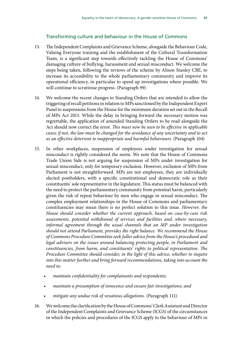#### Transforming culture and behaviour in the House of Commons

- 13. The Independent Complaints and Grievance Scheme, alongside the Behaviour Code, Valuing Everyone training and the establishment of the Cultural Transformation Team, is a significant step towards effectively tackling the House of Commons' damaging culture of bullying, harassment and sexual misconduct. We welcome the steps being taken, following the reviews of the scheme by Alison Stanley CBE, to increase its accessibility to the whole parliamentary community and improve its operational efficiency, in particular to speed up investigations where possible. We will continue to scrutinise progress. (Paragraph 99)
- 14. We welcome the recent changes to Standing Orders that are intended to allow the triggering of recall petitions in relation to MPs sanctioned by the Independent Expert Panel to suspensions from the House for the minimum duration set out in the Recall of MPs Act 2015. While the delay in bringing forward the necessary motion was regrettable, the application of amended Standing Orders to be read alongside the Act should now correct the error. *This must now be seen to be effective in applicable cases; if not, the law must be changed for the avoidance of any uncertainty and to act as an effective deterrent to inappropriate and harmful behaviours.* (Paragraph 104)
- 15. In other workplaces, suspension of employees under investigation for sexual misconduct is rightly considered the norm. We note that the House of Commons Trade Union Side is not arguing for suspension of MPs under investigation for sexual misconduct, only for temporary exclusion. However, exclusion of MPs from Parliament is not straightforward. MPs are not employees, they are individually elected postholders, with a specific constitutional and democratic role as their constituents' sole representative in the legislature. This status must be balanced with the need to protect the parliamentary community from potential harm, particularly given the risk of repeat behaviour by men who engage in sexual misconduct. The complex employment relationships in the House of Commons and parliamentary constituencies may mean there is no perfect solution to this issue. *However, the House should consider whether the current approach, based on case-by-case risk assessments, potential withdrawal of services and facilities and, where necessary, informal agreement through the usual channels that an MP under investigation should not attend Parliament, provides the right balance. We recommend the House of Commons Procedure Committee seek fuller advice from the House's procedural and legal advisers on the issues around balancing protecting people, in Parliament and constituencies, from harm, and constituents' rights to political representation. The Procedure Committee should consider, in the light of this advice, whether to inquire into this matter further and bring forward recommendations, taking into account the need to:*
	- *maintain confidentiality for complainants and respondents;*
	- *maintain a presumption of innocence and ensure fair investigations; and*
	- *mitigate any undue risk of vexatious allegations.* (Paragraph 111)
- 16. We welcome the clarification by the House of Commons' Clerk Assistant and Director of the Independent Complaints and Grievance Scheme (ICGS) of the circumstances in which the policies and procedures of the ICGS apply to the behaviour of MPs in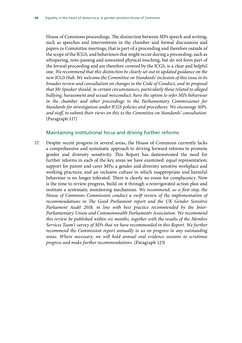House of Commons proceedings. The distinction between MPs speech and writing, such as speeches and interventions in the chamber and formal discussions and papers in Committee meetings, that is part of a proceeding and therefore outside of the scope of the ICGS, and behaviours that might occur during a proceeding, such as whispering, note-passing and unwanted physical touching, but do not form part of the formal proceeding and are therefore covered by the ICGS, is a clear and helpful one. *We recommend that this distinction be clearly set out in updated guidance on the new ICGS Hub. We welcome the Committee on Standards' inclusion of this issue in its broader review and consultation on changes to the Code of Conduct, and its proposal that Mr Speaker should, in certain circumstances, particularly those related to alleged bullying, harassment and sexual misconduct, have the option to refer MPs behaviour in the chamber and other proceedings to the Parliamentary Commissioner for Standards for investigation under ICGS policies and procedures. We encourage MPs, and staff, to submit their views on this to the Committee on Standards' consultation.* (Paragraph 117)

#### Maintaining institutional focus and driving further reforms

17. Despite recent progress in several areas, the House of Commons currently lacks a comprehensive and systematic approach to driving forward reforms to promote gender and diversity sensitivity. This Report has demonstrated the need for further reforms in each of the key areas we have examined: equal representation; support for parent and carer MPs; a gender and diversity sensitive workplace and working practices; and an inclusive culture in which inappropriate and harmful behaviour is no longer tolerated. There is clearly no room for complacency. Now is the time to review progress, build on it through a reinvigorated action plan and institute a systematic monitoring mechanism. *We recommend, as a first step, the House of Commons Commission conduct a swift review of the implementation of recommendations in The Good Parliament report and the UK Gender Sensitive Parliament Audit 2018, in line with best practice recommended by the Inter-Parliamentary Union and Commonwealth Parliaments Association. We recommend this review be published within six months, together with the results of the Member Services Team's survey of MPs that we have recommended in this Report. We further recommend the Commission report annually to us on progress in any outstanding areas. Where necessary, we will hold annual oral evidence sessions to scrutinise progress and make further recommendations.* (Paragraph 123)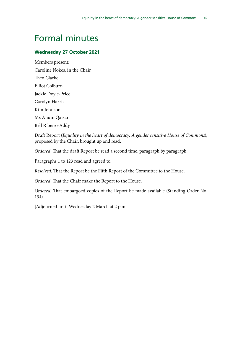## <span id="page-50-0"></span>Formal minutes

#### **Wednesday 27 October 2021**

Members present: Caroline Nokes, in the Chair Theo Clarke Elliot Colburn Jackie Doyle-Price Carolyn Harris Kim Johnson Ms Anum Qaisar Bell Ribeiro-Addy

Draft Report (*Equality in the heart of democracy: A gender sensitive House of Commons*), proposed by the Chair, brought up and read.

*Ordered*, That the draft Report be read a second time, paragraph by paragraph.

Paragraphs 1 to 123 read and agreed to.

*Resolved*, That the Report be the Fifth Report of the Committee to the House.

*Ordered*, That the Chair make the Report to the House.

*Ordered*, That embargoed copies of the Report be made available (Standing Order No. 134).

[Adjourned until Wednesday 2 March at 2 p.m.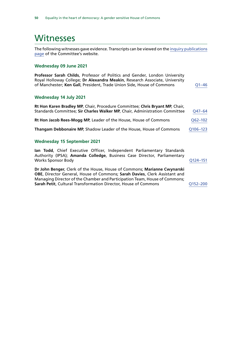### <span id="page-51-0"></span>Witnesses

The following witnesses gave evidence. Transcripts can be viewed on the [inquiry publications](https://committees.parliament.uk/work/1065/default/publications/oral-evidence/) [page](https://committees.parliament.uk/work/1065/default/publications/oral-evidence/) of the Committee's website.

#### **Wednesday 09 June 2021**

| Professor Sarah Childs, Professor of Politics and Gender, London University |           |
|-----------------------------------------------------------------------------|-----------|
| Royal Holloway College; Dr Alexandra Meakin, Research Associate, University |           |
| of Manchester; Ken Gall, President, Trade Union Side, House of Commons      | $O1 - 46$ |
|                                                                             |           |

#### **Wednesday 14 July 2021**

| Rt Hon Karen Bradley MP, Chair, Procedure Committee; Chris Bryant MP, Chair,<br>Standards Committee; Sir Charles Walker MP, Chair, Administration Committee | Q47-64      |
|-------------------------------------------------------------------------------------------------------------------------------------------------------------|-------------|
| Rt Hon Jacob Rees-Mogg MP, Leader of the House, House of Commons                                                                                            | $Q62 - 102$ |
| Thangam Debbonaire MP, Shadow Leader of the House, House of Commons                                                                                         | Q106-123    |

#### **Wednesday 15 September 2021**

**Ian Todd**, Chief Executive Officer, Independent Parliamentary Standards Authority (IPSA); **Amanda Colledge**, Business Case Director, Parliamentary Works Sponsor Body and Contract the Contract of the Contract of Contract of Contract of Contract of Contract o

**Dr John Benger**, Clerk of the House, House of Commons; **Marianne Cwynarski OBE**, Director General, House of Commons; **Sarah Davies**, Clerk Assistant and Managing Director of the Chamber and Participation Team, House of Commons; **Sarah Petit**, Cultural Transformation Director, House of Commons [Q152–](https://committees.parliament.uk/oralevidence/2750/html/)200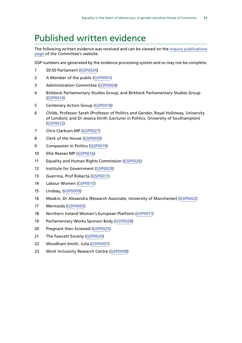## <span id="page-52-0"></span>Published written evidence

The following written evidence was received and can be viewed on the [inquiry publications](https://committees.parliament.uk/work/1065/default/publications/written-evidence/) [page](https://committees.parliament.uk/work/1065/default/publications/written-evidence/) of the Committee's website.

GSP numbers are generated by the evidence processing system and so may not be complete.

- 50:50 Parliament ([GSP0024](https://committees.parliament.uk/writtenevidence/25404/html/))
- A Member of the public ([GSP0001\)](https://committees.parliament.uk/writtenevidence/23427/html/)
- Administration Committee [\(GSP0004\)](https://committees.parliament.uk/writtenevidence/24979/html/)
- Birkbeck Parliamentary Studies Group; and Birkbeck Parliamentary Studies Group ([GSP0014](https://committees.parliament.uk/writtenevidence/25355/html/))
- Centenary Action Group ([GSP0018\)](https://committees.parliament.uk/writtenevidence/25389/html/)
- Childs, Professor Sarah (Professor of Politics and Gender, Royal Holloway, University of London); and Dr Jessica Smith (Lecturer in Politics, University of Southampton) ([GSP0012](https://committees.parliament.uk/writtenevidence/25329/html/))
- Chris Clarkson MP [\(GSP0027\)](https://committees.parliament.uk/writtenevidence/25491/html/)
- Clerk of the House [\(GSP0030](https://committees.parliament.uk/writtenevidence/25689/html/))
- Compassion in Politics [\(GSP0019\)](https://committees.parliament.uk/writtenevidence/25390/html/)
- Ellie Reeves MP [\(GSP0016](https://committees.parliament.uk/writtenevidence/25387/html/))
- Equality and Human Rights Commission [\(GSP0026\)](https://committees.parliament.uk/writtenevidence/25407/html/)
- 12 Institute for Government ([GSP0029](https://committees.parliament.uk/writtenevidence/25621/html/))
- Guerrina, Prof Roberta [\(GSP0017](https://committees.parliament.uk/writtenevidence/25388/html/))
- Labour Women [\(GSP0015\)](https://committees.parliament.uk/writtenevidence/25386/html/)
- Lindsay, [\(GSP0009\)](https://committees.parliament.uk/writtenevidence/25294/html/)
- Meakin, Dr Alexandra (Research Associate, University of Manchester) [\(GSP0022\)](https://committees.parliament.uk/writtenevidence/25398/html/)
- Mermaids ([GSP0005\)](https://committees.parliament.uk/writtenevidence/25132/html/)
- Northern Ireland Women's European Platform [\(GSP0011\)](https://committees.parliament.uk/writtenevidence/25312/html/)
- Parliamentary Works Sponsor Body [\(GSP0028\)](https://committees.parliament.uk/writtenevidence/25530/html/)
- Pregnant then Screwed ([GSP0025](https://committees.parliament.uk/writtenevidence/25405/html/))
- The Fawcett Society [\(GSP0020\)](https://committees.parliament.uk/writtenevidence/25393/html/)
- Woodham-Smith, Julia [\(GSP0007](https://committees.parliament.uk/writtenevidence/25279/html/))
- Work Inclusivity Research Centre [\(GSP0008](https://committees.parliament.uk/writtenevidence/25284/html/))